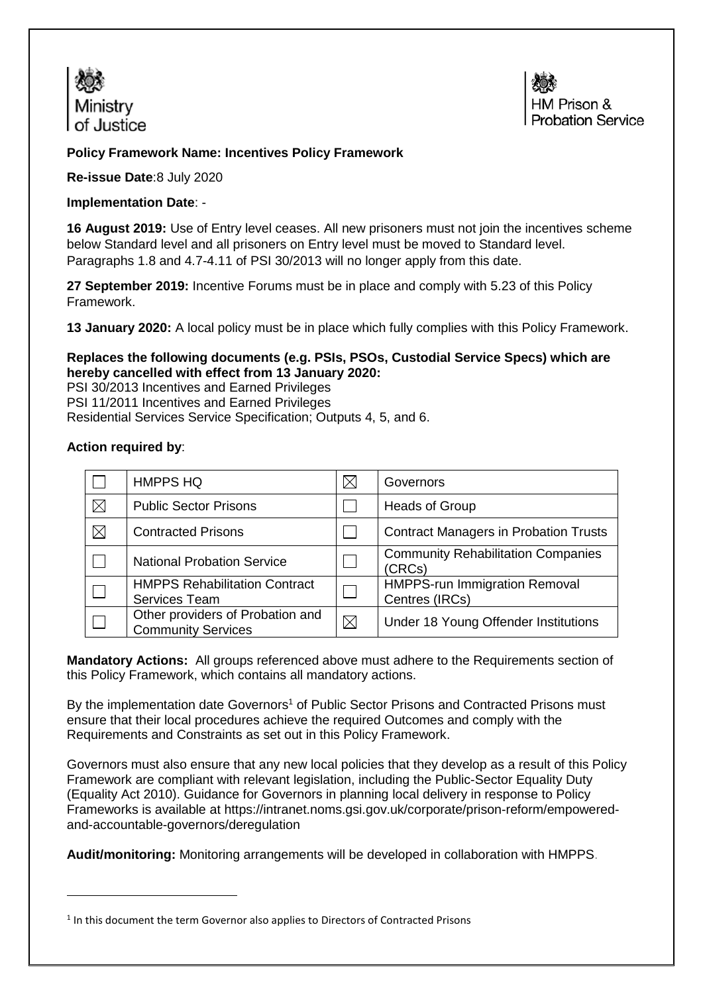



## **Policy Framework Name: Incentives Policy Framework**

**Re-issue Date**:8 July 2020

### **Implementation Date**: -

**16 August 2019:** Use of Entry level ceases. All new prisoners must not join the incentives scheme below Standard level and all prisoners on Entry level must be moved to Standard level. Paragraphs 1.8 and 4.7-4.11 of PSI 30/2013 will no longer apply from this date.

**27 September 2019:** Incentive Forums must be in place and comply with 5.23 of this Policy Framework.

**13 January 2020:** A local policy must be in place which fully complies with this Policy Framework.

### **Replaces the following documents (e.g. PSIs, PSOs, Custodial Service Specs) which are hereby cancelled with effect from 13 January 2020:**

PSI 30/2013 Incentives and Earned Privileges PSI 11/2011 Incentives and Earned Privileges Residential Services Service Specification; Outputs 4, 5, and 6.

### **Action required by**:

**.** 

|             | <b>HMPPS HQ</b>                                               | $\boxtimes$ | Governors                                              |
|-------------|---------------------------------------------------------------|-------------|--------------------------------------------------------|
| $\boxtimes$ | <b>Public Sector Prisons</b>                                  |             | <b>Heads of Group</b>                                  |
| $\boxtimes$ | <b>Contracted Prisons</b>                                     |             | <b>Contract Managers in Probation Trusts</b>           |
|             | <b>National Probation Service</b>                             |             | <b>Community Rehabilitation Companies</b><br>(CRCs)    |
|             | <b>HMPPS Rehabilitation Contract</b><br><b>Services Team</b>  |             | <b>HMPPS-run Immigration Removal</b><br>Centres (IRCs) |
|             | Other providers of Probation and<br><b>Community Services</b> | ⊠           | Under 18 Young Offender Institutions                   |

**Mandatory Actions:** All groups referenced above must adhere to the Requirements section of this Policy Framework, which contains all mandatory actions.

By the implementation date Governors<sup>1</sup> of Public Sector Prisons and Contracted Prisons must ensure that their local procedures achieve the required Outcomes and comply with the Requirements and Constraints as set out in this Policy Framework.

Governors must also ensure that any new local policies that they develop as a result of this Policy Framework are compliant with relevant legislation, including the Public-Sector Equality Duty (Equality Act 2010). Guidance for Governors in planning local delivery in response to Policy Frameworks is available at [https://intranet.noms.gsi.gov.uk/corporate/prison-reform/empowered](https://intranet.noms.gsi.gov.uk/corporate/prison-reform/empowered-and-accountable-governors/deregulation)[and-accountable-governors/deregulation](https://intranet.noms.gsi.gov.uk/corporate/prison-reform/empowered-and-accountable-governors/deregulation)

**Audit/monitoring:** Monitoring arrangements will be developed in collaboration with HMPPS.

<sup>&</sup>lt;sup>1</sup> In this document the term Governor also applies to Directors of Contracted Prisons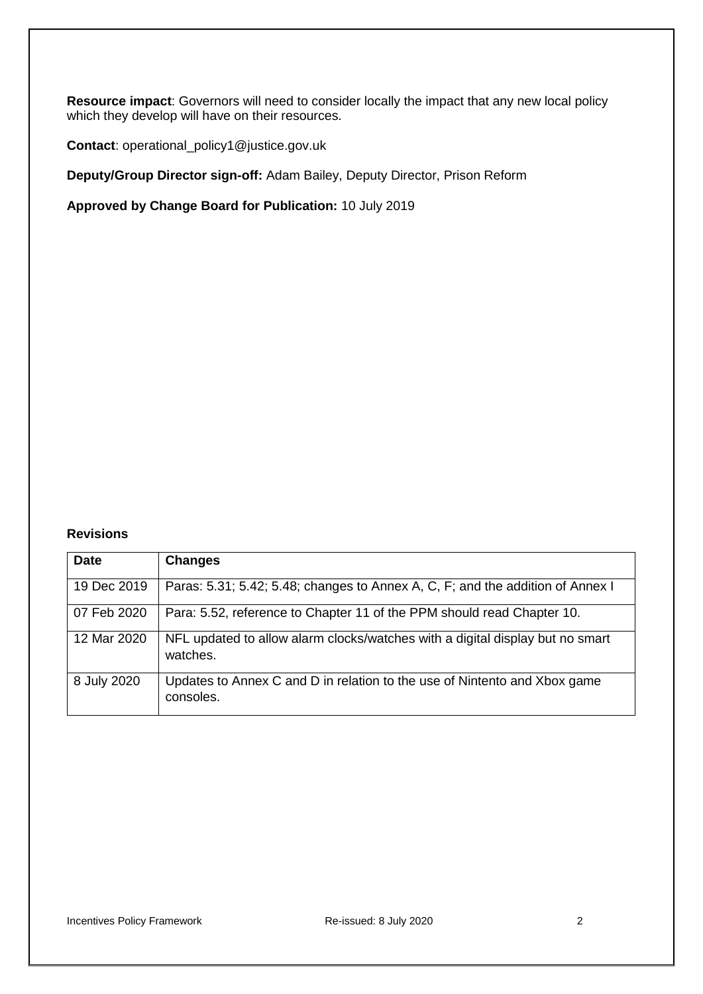**Resource impact**: Governors will need to consider locally the impact that any new local policy which they develop will have on their resources.

**Contact**: operational\_policy1@justice.gov.uk

**Deputy/Group Director sign-off:** Adam Bailey, Deputy Director, Prison Reform

**Approved by Change Board for Publication:** 10 July 2019

#### **Revisions**

| <b>Date</b> | <b>Changes</b>                                                                            |
|-------------|-------------------------------------------------------------------------------------------|
| 19 Dec 2019 | Paras: 5.31; 5.42; 5.48; changes to Annex A, C, F; and the addition of Annex I            |
| 07 Feb 2020 | Para: 5.52, reference to Chapter 11 of the PPM should read Chapter 10.                    |
| 12 Mar 2020 | NFL updated to allow alarm clocks/watches with a digital display but no smart<br>watches. |
| 8 July 2020 | Updates to Annex C and D in relation to the use of Nintento and Xbox game<br>consoles.    |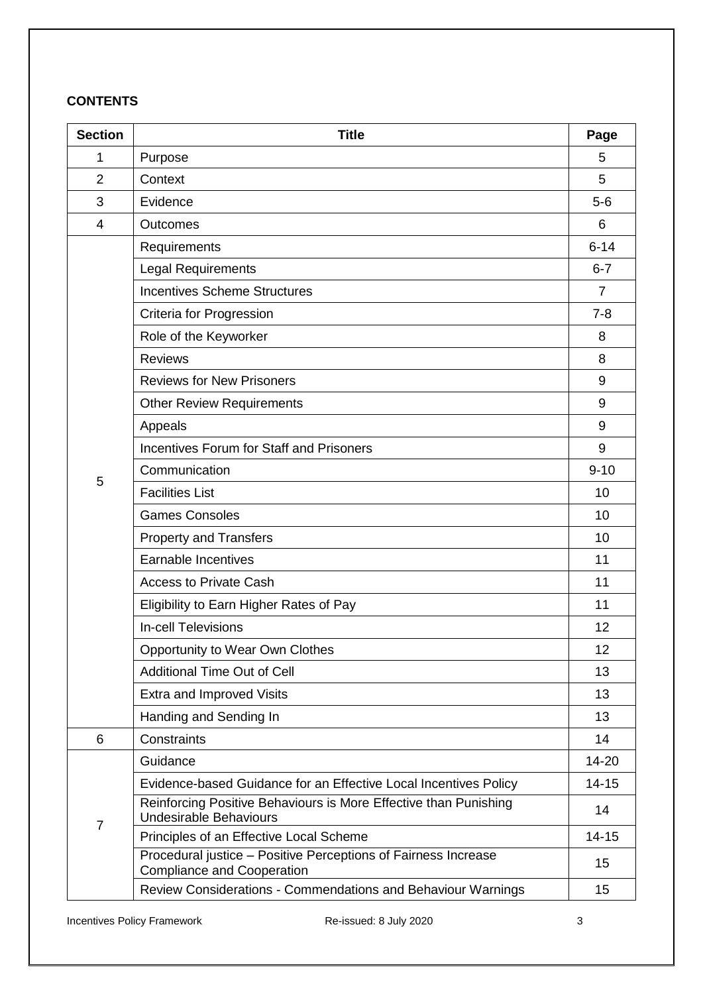# **CONTENTS**

| <b>Section</b> | <b>Title</b>                                                                                        | Page           |
|----------------|-----------------------------------------------------------------------------------------------------|----------------|
| 1              | Purpose                                                                                             | 5              |
| 2              | Context                                                                                             | 5              |
| 3              | Evidence                                                                                            | $5-6$          |
| 4              | Outcomes                                                                                            | 6              |
|                | Requirements                                                                                        | $6 - 14$       |
|                | <b>Legal Requirements</b>                                                                           | $6 - 7$        |
|                | <b>Incentives Scheme Structures</b>                                                                 | $\overline{7}$ |
|                | Criteria for Progression                                                                            | $7 - 8$        |
|                | Role of the Keyworker                                                                               | 8              |
|                | <b>Reviews</b>                                                                                      | 8              |
|                | <b>Reviews for New Prisoners</b>                                                                    | 9              |
|                | <b>Other Review Requirements</b>                                                                    | 9              |
|                | Appeals                                                                                             | 9              |
|                | <b>Incentives Forum for Staff and Prisoners</b>                                                     | 9              |
|                | Communication                                                                                       | $9 - 10$       |
| 5              | <b>Facilities List</b>                                                                              | 10             |
|                | <b>Games Consoles</b>                                                                               | 10             |
|                | <b>Property and Transfers</b>                                                                       | 10             |
|                | Earnable Incentives                                                                                 | 11             |
|                | <b>Access to Private Cash</b>                                                                       | 11             |
|                | Eligibility to Earn Higher Rates of Pay                                                             | 11             |
|                | <b>In-cell Televisions</b>                                                                          | 12             |
|                | <b>Opportunity to Wear Own Clothes</b>                                                              | 12             |
|                | <b>Additional Time Out of Cell</b>                                                                  | 13             |
|                | Extra and Improved Visits                                                                           | 13             |
|                | Handing and Sending In                                                                              | 13             |
| 6              | Constraints                                                                                         | 14             |
|                | Guidance                                                                                            | $14 - 20$      |
|                | Evidence-based Guidance for an Effective Local Incentives Policy                                    | $14 - 15$      |
| $\overline{7}$ | Reinforcing Positive Behaviours is More Effective than Punishing<br><b>Undesirable Behaviours</b>   | 14             |
|                | Principles of an Effective Local Scheme                                                             | $14 - 15$      |
|                | Procedural justice - Positive Perceptions of Fairness Increase<br><b>Compliance and Cooperation</b> | 15             |
|                | Review Considerations - Commendations and Behaviour Warnings                                        | 15             |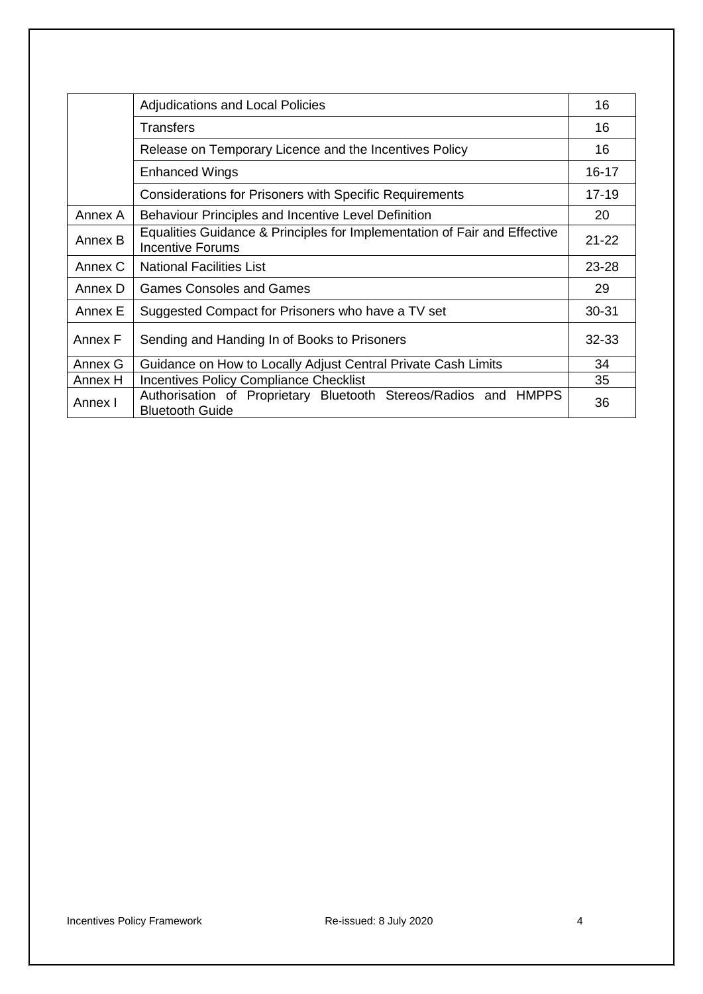|         | <b>Adjudications and Local Policies</b>                                                       | 16        |
|---------|-----------------------------------------------------------------------------------------------|-----------|
|         | <b>Transfers</b>                                                                              | 16        |
|         | Release on Temporary Licence and the Incentives Policy                                        | 16        |
|         | <b>Enhanced Wings</b>                                                                         | $16 - 17$ |
|         | Considerations for Prisoners with Specific Requirements                                       | $17-19$   |
| Annex A | Behaviour Principles and Incentive Level Definition                                           | 20        |
| Annex B | Equalities Guidance & Principles for Implementation of Fair and Effective<br>Incentive Forums | $21 - 22$ |
| Annex C | <b>National Facilities List</b>                                                               | $23 - 28$ |
| Annex D | <b>Games Consoles and Games</b>                                                               | 29        |
| Annex E | Suggested Compact for Prisoners who have a TV set                                             | $30 - 31$ |
| Annex F | Sending and Handing In of Books to Prisoners                                                  | $32 - 33$ |
| Annex G | Guidance on How to Locally Adjust Central Private Cash Limits                                 | 34        |
| Annex H | <b>Incentives Policy Compliance Checklist</b>                                                 | 35        |
| Annex I | Authorisation of Proprietary Bluetooth Stereos/Radios and HMPPS<br><b>Bluetooth Guide</b>     | 36        |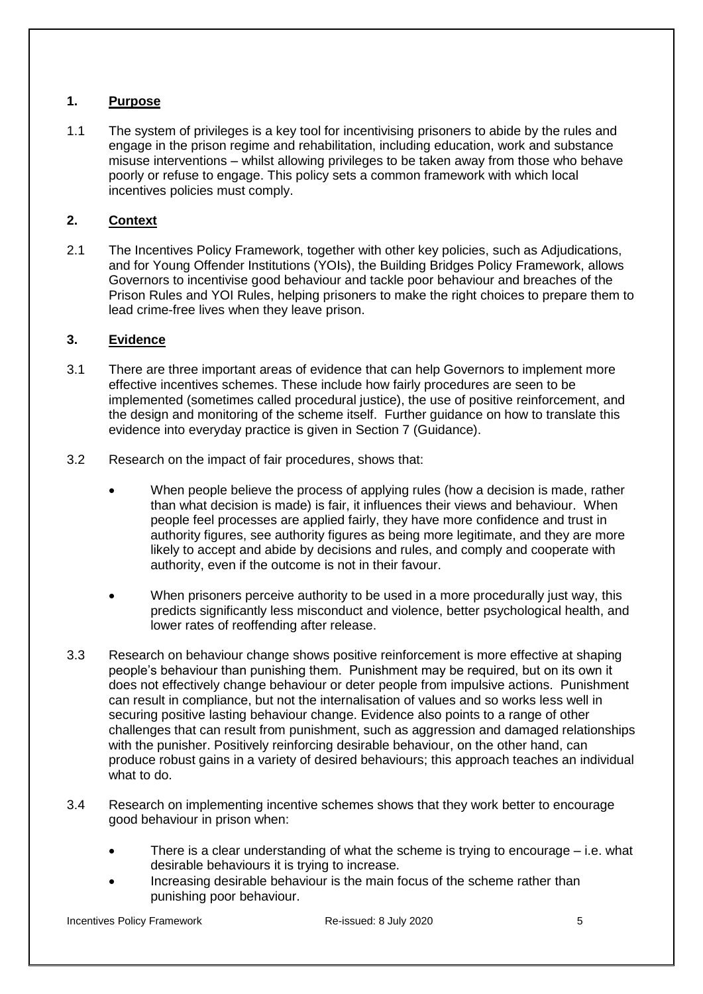# <span id="page-4-0"></span>**1. Purpose**

1.1 The system of privileges is a key tool for incentivising prisoners to abide by the rules and engage in the prison regime and rehabilitation, including education, work and substance misuse interventions – whilst allowing privileges to be taken away from those who behave poorly or refuse to engage. This policy sets a common framework with which local incentives policies must comply.

# <span id="page-4-1"></span>**2. Context**

2.1 The Incentives Policy Framework, together with other key policies, such as Adjudications, and for Young Offender Institutions (YOIs), the Building Bridges Policy Framework, allows Governors to incentivise good behaviour and tackle poor behaviour and breaches of the Prison Rules and YOI Rules, helping prisoners to make the right choices to prepare them to lead crime-free lives when they leave prison.

# <span id="page-4-2"></span>**3. Evidence**

- 3.1 There are three important areas of evidence that can help Governors to implement more effective incentives schemes. These include how fairly procedures are seen to be implemented (sometimes called procedural justice), the use of positive reinforcement, and the design and monitoring of the scheme itself. Further guidance on how to translate this evidence into everyday practice is given in [Section 7](#page-13-0) (Guidance).
- 3.2 Research on the impact of fair procedures, shows that:
	- When people believe the process of applying rules (how a decision is made, rather than what decision is made) is fair, it influences their views and behaviour. When people feel processes are applied fairly, they have more confidence and trust in authority figures, see authority figures as being more legitimate, and they are more likely to accept and abide by decisions and rules, and comply and cooperate with authority, even if the outcome is not in their favour.
	- When prisoners perceive authority to be used in a more procedurally just way, this predicts significantly less misconduct and violence, better psychological health, and lower rates of reoffending after release.
- 3.3 Research on behaviour change shows positive reinforcement is more effective at shaping people's behaviour than punishing them. Punishment may be required, but on its own it does not effectively change behaviour or deter people from impulsive actions. Punishment can result in compliance, but not the internalisation of values and so works less well in securing positive lasting behaviour change. Evidence also points to a range of other challenges that can result from punishment, such as aggression and damaged relationships with the punisher. Positively reinforcing desirable behaviour, on the other hand, can produce robust gains in a variety of desired behaviours; this approach teaches an individual what to do.
- 3.4 Research on implementing incentive schemes shows that they work better to encourage good behaviour in prison when:
	- There is a clear understanding of what the scheme is trying to encourage  $-$  i.e. what desirable behaviours it is trying to increase.
	- Increasing desirable behaviour is the main focus of the scheme rather than punishing poor behaviour.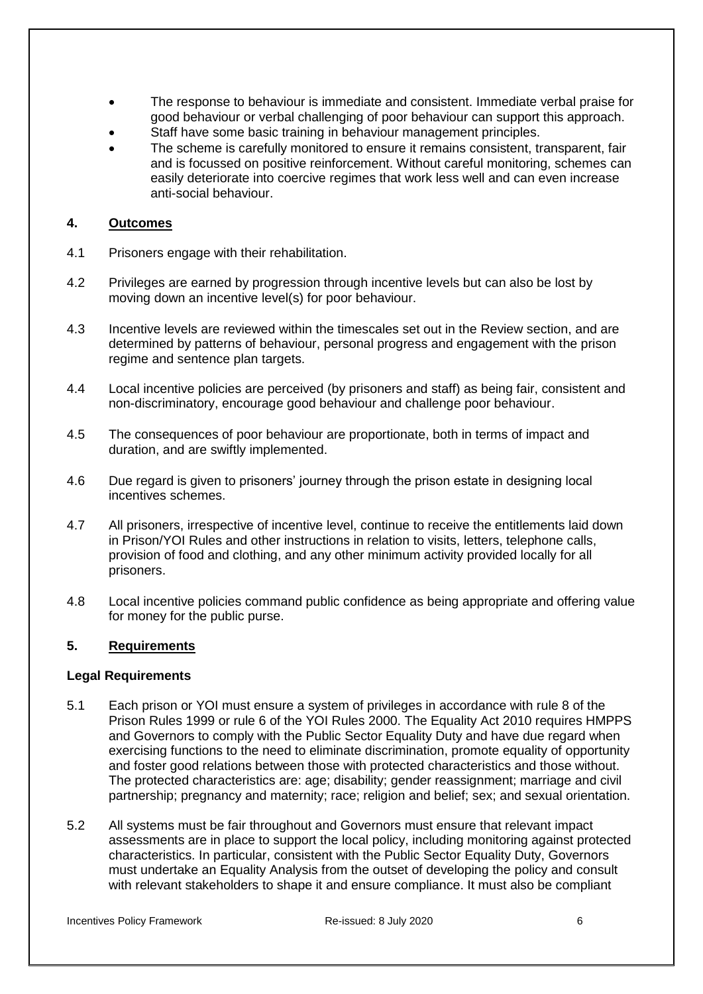- The response to behaviour is immediate and consistent. Immediate verbal praise for good behaviour or verbal challenging of poor behaviour can support this approach.
- Staff have some basic training in behaviour management principles.
- The scheme is carefully monitored to ensure it remains consistent, transparent, fair and is focussed on positive reinforcement. Without careful monitoring, schemes can easily deteriorate into coercive regimes that work less well and can even increase anti-social behaviour.

### <span id="page-5-0"></span>**4. Outcomes**

- 4.1 Prisoners engage with their rehabilitation.
- 4.2 Privileges are earned by progression through incentive levels but can also be lost by moving down an incentive level(s) for poor behaviour.
- 4.3 Incentive levels are reviewed within the timescales set out in the [Review](#page-7-1) section, and are determined by patterns of behaviour, personal progress and engagement with the prison regime and sentence plan targets.
- 4.4 Local incentive policies are perceived (by prisoners and staff) as being fair, consistent and non-discriminatory, encourage good behaviour and challenge poor behaviour.
- 4.5 The consequences of poor behaviour are proportionate, both in terms of impact and duration, and are swiftly implemented.
- 4.6 Due regard is given to prisoners' journey through the prison estate in designing local incentives schemes.
- 4.7 All prisoners, irrespective of incentive level, continue to receive the entitlements laid down in Prison/YOI Rules and other instructions in relation to visits, letters, telephone calls, provision of food and clothing, and any other minimum activity provided locally for all prisoners.
- 4.8 Local incentive policies command public confidence as being appropriate and offering value for money for the public purse.

### <span id="page-5-1"></span>**5. Requirements**

#### <span id="page-5-2"></span>**Legal Requirements**

- 5.1 Each prison or YOI must ensure a system of privileges in accordance with rule 8 of the Prison Rules 1999 or rule 6 of the YOI Rules 2000. The Equality Act 2010 requires HMPPS and Governors to comply with the Public Sector Equality Duty and have due regard when exercising functions to the need to eliminate discrimination, promote equality of opportunity and foster good relations between those with protected characteristics and those without. The protected characteristics are: age; disability; gender reassignment; marriage and civil partnership; pregnancy and maternity; race; religion and belief; sex; and sexual orientation.
- 5.2 All systems must be fair throughout and Governors must ensure that relevant impact assessments are in place to support the local policy, including monitoring against protected characteristics. In particular, consistent with the Public Sector Equality Duty, Governors must undertake an Equality Analysis from the outset of developing the policy and consult with relevant stakeholders to shape it and ensure compliance. It must also be compliant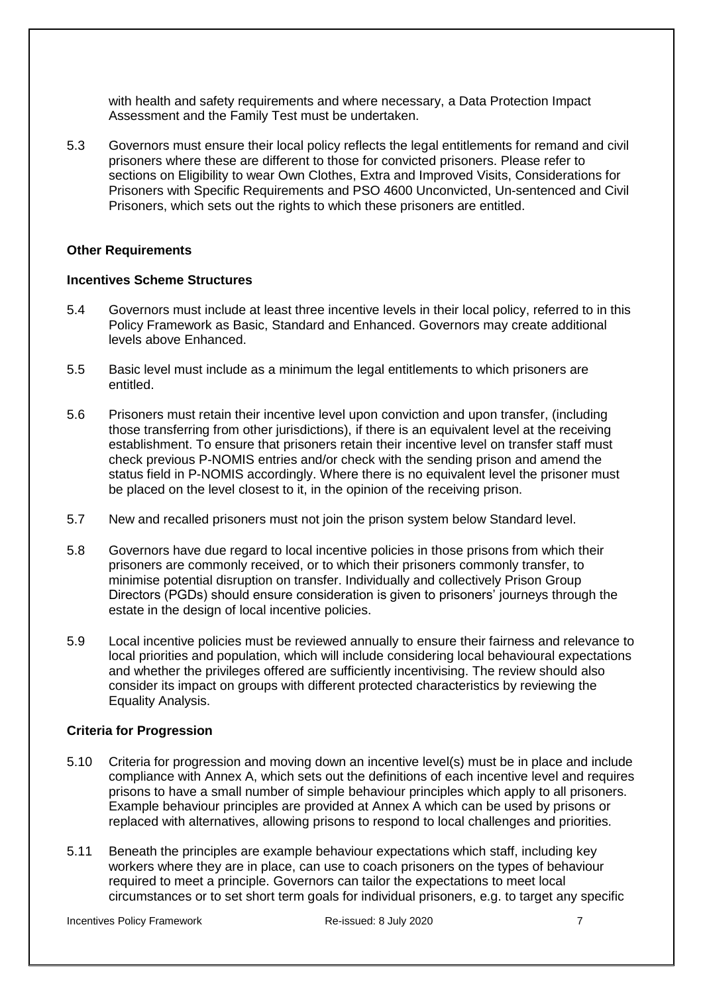with health and safety requirements and where necessary, a Data Protection Impact Assessment and the Family Test must be undertaken.

5.3 Governors must ensure their local policy reflects the legal entitlements for remand and civil prisoners where these are different to those for convicted prisoners. Please refer to sections on Eligibility to wear Own Clothes, Extra and Improved Visits, Considerations for Prisoners with Specific Requirements and [PSO 4600 Unconvicted, Un-sentenced and Civil](http://www.justice.gov.uk/downloads/offenders/psipso/pso/PSO_4600_unconvicted_unsentenced_and_civil_prisoners.doc)  [Prisoners,](http://www.justice.gov.uk/downloads/offenders/psipso/pso/PSO_4600_unconvicted_unsentenced_and_civil_prisoners.doc) which sets out the rights to which these prisoners are entitled.

#### **Other Requirements**

#### <span id="page-6-0"></span>**Incentives Scheme Structures**

- 5.4 Governors must include at least three incentive levels in their local policy, referred to in this Policy Framework as Basic, Standard and Enhanced. Governors may create additional levels above Enhanced.
- 5.5 Basic level must include as a minimum the legal entitlements to which prisoners are entitled.
- 5.6 Prisoners must retain their incentive level upon conviction and upon transfer, (including those transferring from other jurisdictions), if there is an equivalent level at the receiving establishment. To ensure that prisoners retain their incentive level on transfer staff must check previous P-NOMIS entries and/or check with the sending prison and amend the status field in P-NOMIS accordingly. Where there is no equivalent level the prisoner must be placed on the level closest to it, in the opinion of the receiving prison.
- 5.7 New and recalled prisoners must not join the prison system below Standard level.
- 5.8 Governors have due regard to local incentive policies in those prisons from which their prisoners are commonly received, or to which their prisoners commonly transfer, to minimise potential disruption on transfer. Individually and collectively Prison Group Directors (PGDs) should ensure consideration is given to prisoners' journeys through the estate in the design of local incentive policies.
- 5.9 Local incentive policies must be reviewed annually to ensure their fairness and relevance to local priorities and population, which will include considering local behavioural expectations and whether the privileges offered are sufficiently incentivising. The review should also consider its impact on groups with different protected characteristics by reviewing the Equality Analysis.

#### <span id="page-6-1"></span>**Criteria for Progression**

- 5.10 Criteria for progression and moving down an incentive level(s) must be in place and include compliance with [Annex A,](#page-19-0) which sets out the definitions of each incentive level and requires prisons to have a small number of simple behaviour principles which apply to all prisoners. Example behaviour principles are provided at [Annex A](#page-19-0) which can be used by prisons or replaced with alternatives, allowing prisons to respond to local challenges and priorities.
- 5.11 Beneath the principles are example behaviour expectations which staff, including key workers where they are in place, can use to coach prisoners on the types of behaviour required to meet a principle. Governors can tailor the expectations to meet local circumstances or to set short term goals for individual prisoners, e.g. to target any specific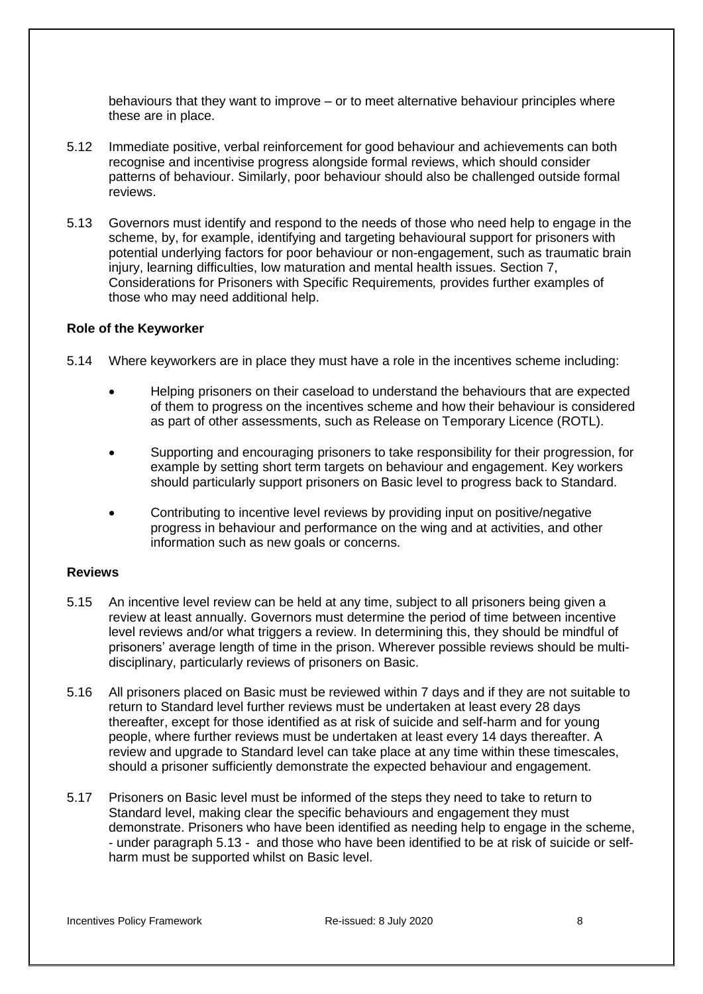behaviours that they want to improve – or to meet alternative behaviour principles where these are in place.

- 5.12 Immediate positive, verbal reinforcement for good behaviour and achievements can both recognise and incentivise progress alongside formal reviews, which should consider patterns of behaviour. Similarly, poor behaviour should also be challenged outside formal reviews.
- 5.13 Governors must identify and respond to the needs of those who need help to engage in the scheme, by, for example, identifying and targeting behavioural support for prisoners with potential underlying factors for poor behaviour or non-engagement, such as traumatic brain injury, learning difficulties, low maturation and mental health issues. Section 7, [Considerations for Prisoners with Specific Requirements](#page-16-0)*,* provides further examples of those who may need additional help.

#### <span id="page-7-0"></span>**Role of the Keyworker**

- 5.14 Where keyworkers are in place they must have a role in the incentives scheme including:
	- Helping prisoners on their caseload to understand the behaviours that are expected of them to progress on the incentives scheme and how their behaviour is considered as part of other assessments, such as Release on Temporary Licence (ROTL).
	- Supporting and encouraging prisoners to take responsibility for their progression, for example by setting short term targets on behaviour and engagement. Key workers should particularly support prisoners on Basic level to progress back to Standard.
	- Contributing to incentive level reviews by providing input on positive/negative progress in behaviour and performance on the wing and at activities, and other information such as new goals or concerns.

#### <span id="page-7-1"></span>**Reviews**

- 5.15 An incentive level review can be held at any time, subject to all prisoners being given a review at least annually. Governors must determine the period of time between incentive level reviews and/or what triggers a review. In determining this, they should be mindful of prisoners' average length of time in the prison. Wherever possible reviews should be multidisciplinary, particularly reviews of prisoners on Basic.
- 5.16 All prisoners placed on Basic must be reviewed within 7 days and if they are not suitable to return to Standard level further reviews must be undertaken at least every 28 days thereafter, except for those identified as at risk of suicide and self-harm and for young people, where further reviews must be undertaken at least every 14 days thereafter. A review and upgrade to Standard level can take place at any time within these timescales, should a prisoner sufficiently demonstrate the expected behaviour and engagement.
- 5.17 Prisoners on Basic level must be informed of the steps they need to take to return to Standard level, making clear the specific behaviours and engagement they must demonstrate. Prisoners who have been identified as needing help to engage in the scheme, - under paragraph 5.13 - and those who have been identified to be at risk of suicide or selfharm must be supported whilst on Basic level.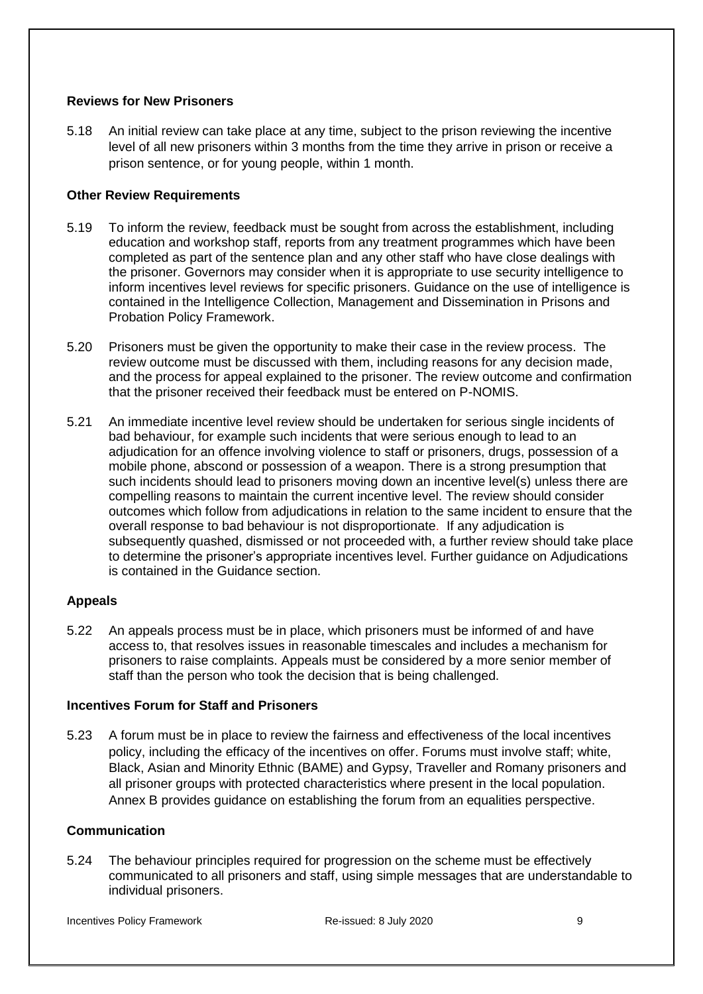### <span id="page-8-0"></span>**Reviews for New Prisoners**

5.18 An initial review can take place at any time, subject to the prison reviewing the incentive level of all new prisoners within 3 months from the time they arrive in prison or receive a prison sentence, or for young people, within 1 month.

### <span id="page-8-1"></span>**Other Review Requirements**

- 5.19 To inform the review, feedback must be sought from across the establishment, including education and workshop staff, reports from any treatment programmes which have been completed as part of the sentence plan and any other staff who have close dealings with the prisoner. Governors may consider when it is appropriate to use security intelligence to inform incentives level reviews for specific prisoners. Guidance on the use of intelligence is contained in the [Intelligence Collection, Management and Dissemination in Prisons and](https://www.gov.uk/government/publications/intelligence-collection-management-and-dissemination-in-prisons-and-probation)  [Probation Policy Framework.](https://www.gov.uk/government/publications/intelligence-collection-management-and-dissemination-in-prisons-and-probation)
- 5.20 Prisoners must be given the opportunity to make their case in the review process. The review outcome must be discussed with them, including reasons for any decision made, and the process for appeal explained to the prisoner. The review outcome and confirmation that the prisoner received their feedback must be entered on P-NOMIS.
- 5.21 An immediate incentive level review should be undertaken for serious single incidents of bad behaviour, for example such incidents that were serious enough to lead to an adjudication for an offence involving violence to staff or prisoners, drugs, possession of a mobile phone, abscond or possession of a weapon. There is a strong presumption that such incidents should lead to prisoners moving down an incentive level(s) unless there are compelling reasons to maintain the current incentive level. The review should consider outcomes which follow from adjudications in relation to the same incident to ensure that the overall response to bad behaviour is not disproportionate. If any adjudication is subsequently quashed, dismissed or not proceeded with, a further review should take place to determine the prisoner's appropriate incentives level. Further guidance on Adjudications is contained in the [Guidance](#page-13-0) section.

#### <span id="page-8-2"></span>**Appeals**

5.22 An appeals process must be in place, which prisoners must be informed of and have access to, that resolves issues in reasonable timescales and includes a mechanism for prisoners to raise complaints. Appeals must be considered by a more senior member of staff than the person who took the decision that is being challenged.

### <span id="page-8-3"></span>**Incentives Forum for Staff and Prisoners**

5.23 A forum must be in place to review the fairness and effectiveness of the local incentives policy, including the efficacy of the incentives on offer. Forums must involve staff; white, Black, Asian and Minority Ethnic (BAME) and Gypsy, Traveller and Romany prisoners and all prisoner groups with protected characteristics where present in the local population. [Annex B](#page-20-0) provides guidance on establishing the forum from an equalities perspective.

#### <span id="page-8-4"></span>**Communication**

5.24 The behaviour principles required for progression on the scheme must be effectively communicated to all prisoners and staff, using simple messages that are understandable to individual prisoners.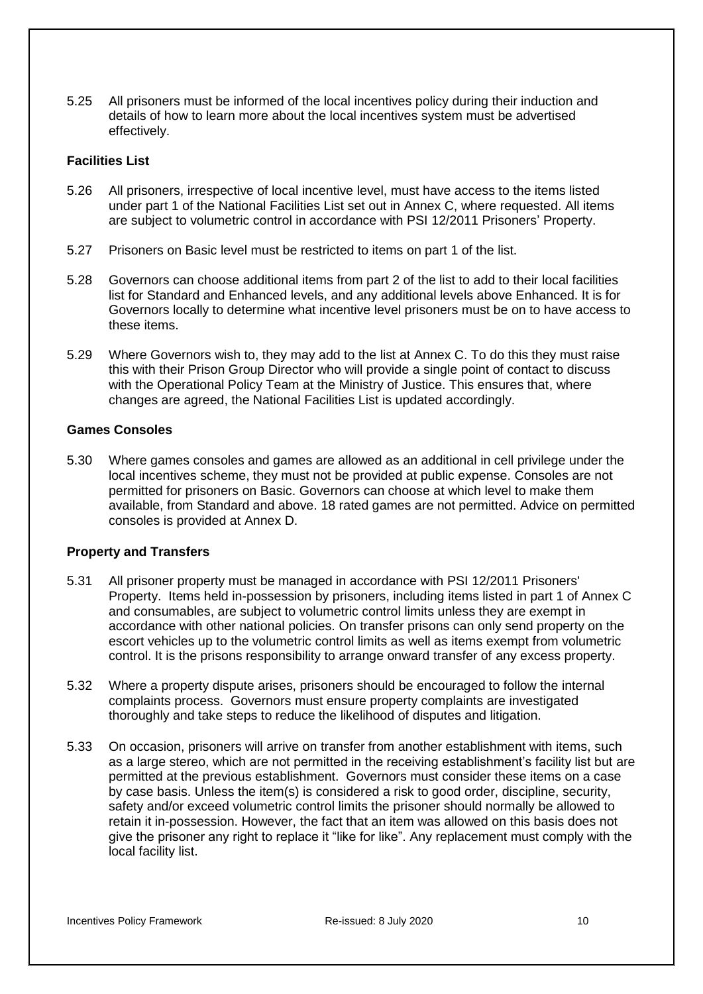5.25 All prisoners must be informed of the local incentives policy during their induction and details of how to learn more about the local incentives system must be advertised effectively.

#### <span id="page-9-0"></span>**Facilities List**

- 5.26 All prisoners, irrespective of local incentive level, must have access to the items listed under part 1 of the National Facilities List set out in [Annex C,](#page-22-0) where requested. All items are subject to volumetric control in accordance with [PSI 12/2011 Prisoners'](http://www.justice.gov.uk/downloads/offenders/psipso/psi-2011/psi-12-2011-prisoners-property.doc) Property.
- 5.27 Prisoners on Basic level must be restricted to items on part 1 of the list.
- 5.28 Governors can choose additional items from part 2 of the list to add to their local facilities list for Standard and Enhanced levels, and any additional levels above Enhanced. It is for Governors locally to determine what incentive level prisoners must be on to have access to these items.
- 5.29 Where Governors wish to, they may add to the list at [Annex C.](#page-22-0) To do this they must raise this with their Prison Group Director who will provide a single point of contact to discuss with the Operational Policy Team at the Ministry of Justice. This ensures that, where changes are agreed, the National Facilities List is updated accordingly.

### <span id="page-9-1"></span>**Games Consoles**

5.30 Where games consoles and games are allowed as an additional in cell privilege under the local incentives scheme, they must not be provided at public expense. Consoles are not permitted for prisoners on Basic. Governors can choose at which level to make them available, from Standard and above. 18 rated games are not permitted. Advice on permitted consoles is provided at [Annex D.](#page-28-0)

### <span id="page-9-2"></span>**Property and Transfers**

- 5.31 All prisoner property must be managed in accordance with [PSI 12/2011 Prisoners'](http://www.justice.gov.uk/downloads/offenders/psipso/psi-2011/psi-12-2011-prisoners-property.doc)  [Property.](http://www.justice.gov.uk/downloads/offenders/psipso/psi-2011/psi-12-2011-prisoners-property.doc) Items held in-possession by prisoners, including items listed in part 1 of [Annex C](#page-22-0) and consumables, are subject to volumetric control limits unless they are exempt in accordance with other national policies. On transfer prisons can only send property on the escort vehicles up to the volumetric control limits as well as items exempt from volumetric control. It is the prisons responsibility to arrange onward transfer of any excess property.
- 5.32 Where a property dispute arises, prisoners should be encouraged to follow the internal complaints process. Governors must ensure property complaints are investigated thoroughly and take steps to reduce the likelihood of disputes and litigation.
- <span id="page-9-3"></span>5.33 On occasion, prisoners will arrive on transfer from another establishment with items, such as a large stereo, which are not permitted in the receiving establishment's facility list but are permitted at the previous establishment. Governors must consider these items on a case by case basis. Unless the item(s) is considered a risk to good order, discipline, security, safety and/or exceed volumetric control limits the prisoner should normally be allowed to retain it in-possession. However, the fact that an item was allowed on this basis does not give the prisoner any right to replace it "like for like". Any replacement must comply with the local facility list.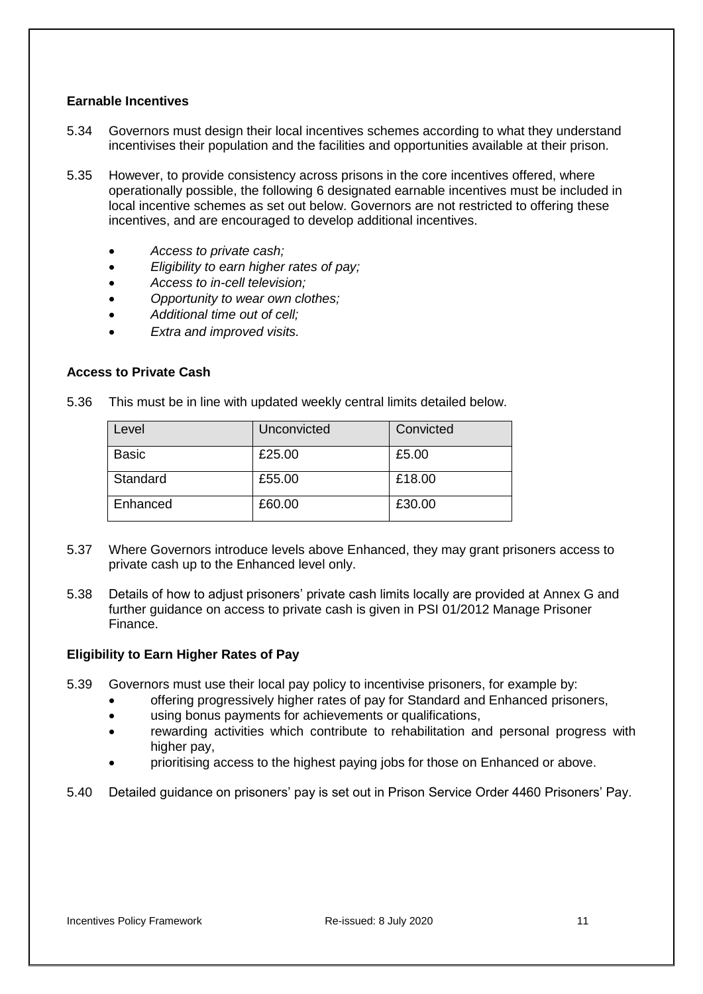### **Earnable Incentives**

- 5.34 Governors must design their local incentives schemes according to what they understand incentivises their population and the facilities and opportunities available at their prison.
- 5.35 However, to provide consistency across prisons in the core incentives offered, where operationally possible, the following 6 designated earnable incentives must be included in local incentive schemes as set out below. Governors are not restricted to offering these incentives, and are encouraged to develop additional incentives.
	- *Access to private cash;*
	- *Eligibility to earn higher rates of pay;*
	- *Access to in-cell television;*
	- *Opportunity to wear own clothes;*
	- *Additional time out of cell;*
	- *Extra and improved visits.*

#### <span id="page-10-0"></span>**Access to Private Cash**

5.36 This must be in line with updated weekly central limits detailed below.

| Level        | Unconvicted | Convicted |
|--------------|-------------|-----------|
| <b>Basic</b> | £25.00      | £5.00     |
| Standard     | £55.00      | £18.00    |
| Enhanced     | £60.00      | £30.00    |

- 5.37 Where Governors introduce levels above Enhanced, they may grant prisoners access to private cash up to the Enhanced level only.
- 5.38 Details of how to adjust prisoners' private cash limits locally are provided at [Annex G](#page-33-0) and further guidance on access to private cash is given in [PSI 01/2012 Manage Prisoner](http://www.justice.gov.uk/downloads/offenders/psipso/psi-2012/psi-01-2012-manage-prisoner-finance.doc)  [Finance.](http://www.justice.gov.uk/downloads/offenders/psipso/psi-2012/psi-01-2012-manage-prisoner-finance.doc)

### <span id="page-10-1"></span>**Eligibility to Earn Higher Rates of Pay**

- 5.39 Governors must use their local pay policy to incentivise prisoners, for example by:
	- offering progressively higher rates of pay for Standard and Enhanced prisoners,
	- using bonus payments for achievements or qualifications,
	- rewarding activities which contribute to rehabilitation and personal progress with higher pay,
	- prioritising access to the highest paying jobs for those on Enhanced or above.
- <span id="page-10-2"></span>5.40 Detailed guidance on prisoners' pay is set out in [Prison Service Order 4460 Prisoners' Pay.](http://www.justice.gov.uk/downloads/offenders/psipso/pso/PSO_4460_prisoners_pay.doc)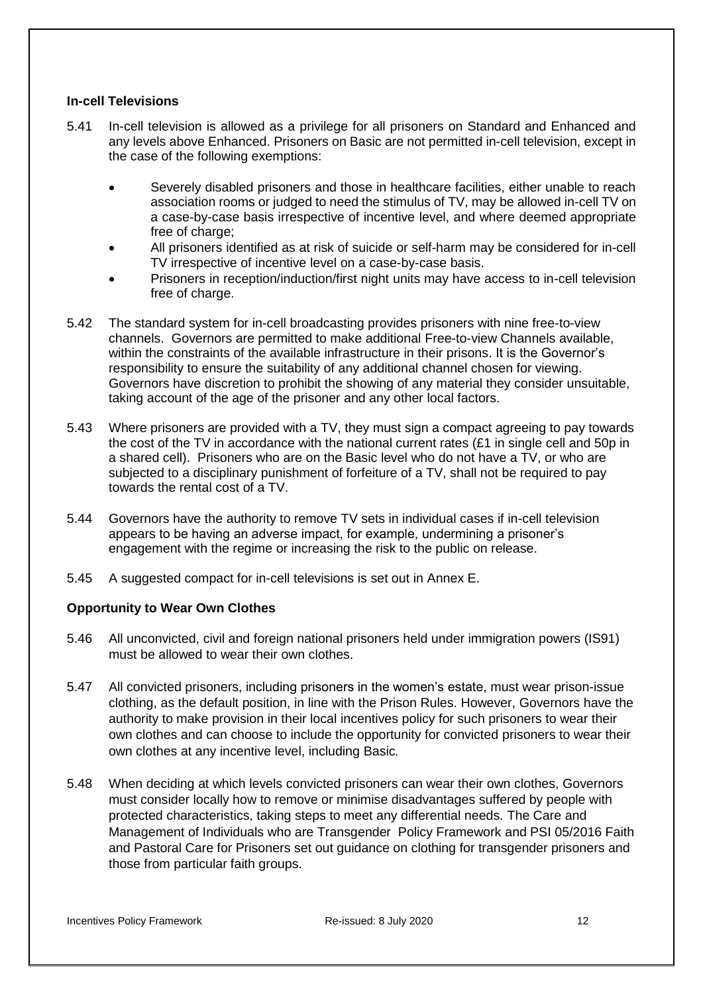### **In-cell Televisions**

- 5.41 In-cell television is allowed as a privilege for all prisoners on Standard and Enhanced and any levels above Enhanced. Prisoners on Basic are not permitted in-cell television, except in the case of the following exemptions:
	- Severely disabled prisoners and those in healthcare facilities, either unable to reach association rooms or judged to need the stimulus of TV, may be allowed in-cell TV on a case-by-case basis irrespective of incentive level, and where deemed appropriate free of charge;
	- All prisoners identified as at risk of suicide or self-harm may be considered for in-cell TV irrespective of incentive level on a case-by-case basis.
	- Prisoners in reception/induction/first night units may have access to in-cell television free of charge.
- 5.42 The standard system for in-cell broadcasting provides prisoners with nine free-to-view channels. Governors are permitted to make additional Free-to-view Channels available, within the constraints of the available infrastructure in their prisons. It is the Governor's responsibility to ensure the suitability of any additional channel chosen for viewing. Governors have discretion to prohibit the showing of any material they consider unsuitable, taking account of the age of the prisoner and any other local factors.
- 5.43 Where prisoners are provided with a TV, they must sign a compact agreeing to pay towards the cost of the TV in accordance with the national current rates  $(E1)$  in single cell and 50p in a shared cell). Prisoners who are on the Basic level who do not have a TV, or who are subjected to a disciplinary punishment of forfeiture of a TV, shall not be required to pay towards the rental cost of a TV.
- 5.44 Governors have the authority to remove TV sets in individual cases if in-cell television appears to be having an adverse impact, for example, undermining a prisoner's engagement with the regime or increasing the risk to the public on release.
- 5.45 A suggested compact for in-cell televisions is set out in [Annex](#page-29-0) E.

### <span id="page-11-0"></span>**Opportunity to Wear Own Clothes**

- 5.46 All unconvicted, civil and foreign national prisoners held under immigration powers (IS91) must be allowed to wear their own clothes.
- 5.47 All convicted prisoners, including prisoners in the women's estate, must wear prison-issue clothing, as the default position, in line with the Prison Rules. However, Governors have the authority to make provision in their local incentives policy for such prisoners to wear their own clothes and can choose to include the opportunity for convicted prisoners to wear their own clothes at any incentive level, including Basic*.*
- 5.48 When deciding at which levels convicted prisoners can wear their own clothes, Governors must consider locally how to remove or minimise disadvantages suffered by people with protected characteristics, taking steps to meet any differential needs. [The Care and](https://intranet.noms.gsi.gov.uk/policies-and-subjects/the-care-and-management-of-individuals-who-are-transgender-policy-framework)  [Management of Individuals who are Transgender Policy Framework a](https://intranet.noms.gsi.gov.uk/policies-and-subjects/the-care-and-management-of-individuals-who-are-transgender-policy-framework)nd [PSI 05/2016 Faith](http://www.justice.gov.uk/downloads/offenders/psipso/psi-2016/psi-05-2016-faith-and-pastoral-care-for-prisoners.doc)  [and Pastoral Care for Prisoners](http://www.justice.gov.uk/downloads/offenders/psipso/psi-2016/psi-05-2016-faith-and-pastoral-care-for-prisoners.doc) set out guidance on clothing for transgender prisoners and those from particular faith groups.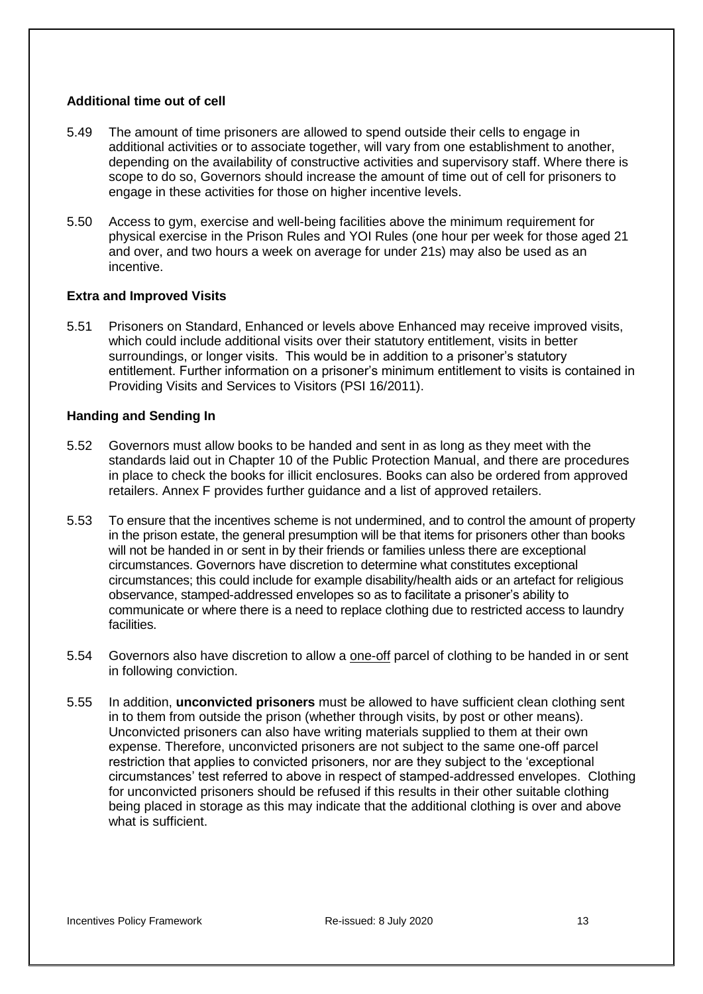#### <span id="page-12-0"></span>**Additional time out of cell**

- 5.49 The amount of time prisoners are allowed to spend outside their cells to engage in additional activities or to associate together, will vary from one establishment to another, depending on the availability of constructive activities and supervisory staff. Where there is scope to do so, Governors should increase the amount of time out of cell for prisoners to engage in these activities for those on higher incentive levels.
- 5.50 Access to gym, exercise and well-being facilities above the minimum requirement for physical exercise in the Prison Rules and YOI Rules (one hour per week for those aged 21 and over, and two hours a week on average for under 21s) may also be used as an incentive.

#### <span id="page-12-1"></span>**Extra and Improved Visits**

5.51 Prisoners on Standard, Enhanced or levels above Enhanced may receive improved visits, which could include additional visits over their statutory entitlement, visits in better surroundings, or longer visits. This would be in addition to a prisoner's statutory entitlement. Further information on a prisoner's minimum entitlement to visits is contained in [Providing Visits and Services to Visitors \(PSI 16/2011\).](http://www.justice.gov.uk/downloads/offenders/psipso/psi-2011/psi-2011-16-providing-visits-and-services-to-visitors.doc)

#### <span id="page-12-2"></span>**Handing and Sending In**

- 5.52 Governors must allow books to be handed and sent in as long as they meet with the standards laid out in Chapter 10 of the Public Protection Manual, and there are procedures in place to check the books for illicit enclosures. Books can also be ordered from approved retailers. [Annex F](#page-31-0) provides further guidance and a list of approved retailers.
- 5.53 To ensure that the incentives scheme is not undermined, and to control the amount of property in the prison estate, the general presumption will be that items for prisoners other than books will not be handed in or sent in by their friends or families unless there are exceptional circumstances. Governors have discretion to determine what constitutes exceptional circumstances; this could include for example disability/health aids or an artefact for religious observance, stamped-addressed envelopes so as to facilitate a prisoner's ability to communicate or where there is a need to replace clothing due to restricted access to laundry facilities.
- 5.54 Governors also have discretion to allow a one-off parcel of clothing to be handed in or sent in following conviction.
- <span id="page-12-3"></span>5.55 In addition, **unconvicted prisoners** must be allowed to have sufficient clean clothing sent in to them from outside the prison (whether through visits, by post or other means). Unconvicted prisoners can also have writing materials supplied to them at their own expense. Therefore, unconvicted prisoners are not subject to the same one-off parcel restriction that applies to convicted prisoners, nor are they subject to the 'exceptional circumstances' test referred to above in respect of stamped-addressed envelopes. Clothing for unconvicted prisoners should be refused if this results in their other suitable clothing being placed in storage as this may indicate that the additional clothing is over and above what is sufficient.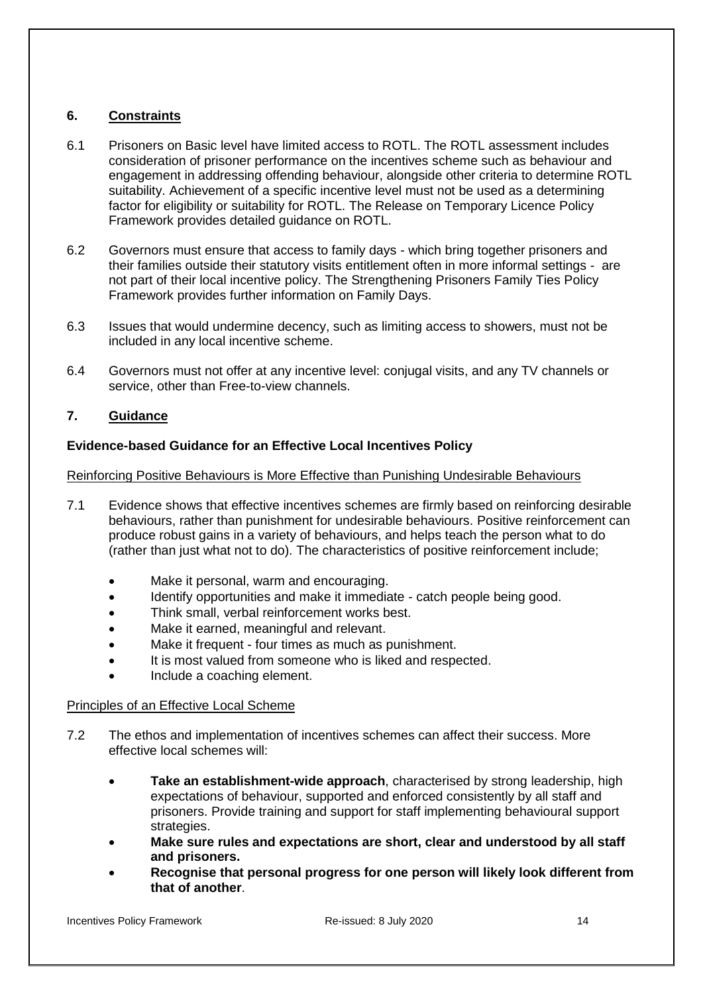# **6. Constraints**

- 6.1 Prisoners on Basic level have limited access to ROTL. The ROTL assessment includes consideration of prisoner performance on the incentives scheme such as behaviour and engagement in addressing offending behaviour, alongside other criteria to determine ROTL suitability. Achievement of a specific incentive level must not be used as a determining factor for eligibility or suitability for ROTL. T[he Release on Temporary Licence](https://www.gov.uk/government/publications/release-on-temporary-licence) Policy [Framework](https://www.gov.uk/government/publications/release-on-temporary-licence) provides detailed guidance on ROTL.
- 6.2 Governors must ensure that access to family days which bring together prisoners and their families outside their statutory visits entitlement often in more informal settings - are not part of their local incentive policy. The [Strengthening Prisoners Family Ties Policy](https://www.gov.uk/government/publications/strengthening-prisoners-family-ties-policy-framework)  [Framework](https://www.gov.uk/government/publications/strengthening-prisoners-family-ties-policy-framework) provides further information on Family Days.
- 6.3 Issues that would undermine decency, such as limiting access to showers, must not be included in any local incentive scheme.
- 6.4 Governors must not offer at any incentive level: conjugal visits, and any TV channels or service, other than Free-to-view channels.

## <span id="page-13-0"></span>**7. Guidance**

## <span id="page-13-1"></span>**Evidence-based Guidance for an Effective Local Incentives Policy**

### <span id="page-13-2"></span>Reinforcing Positive Behaviours is More Effective than Punishing Undesirable Behaviours

- 7.1 Evidence shows that effective incentives schemes are firmly based on reinforcing desirable behaviours, rather than punishment for undesirable behaviours. Positive reinforcement can produce robust gains in a variety of behaviours, and helps teach the person what to do (rather than just what not to do). The characteristics of positive reinforcement include;
	- Make it personal, warm and encouraging.
	- Identify opportunities and make it immediate catch people being good.
	- Think small, verbal reinforcement works best.
	- Make it earned, meaningful and relevant.
	- Make it frequent four times as much as punishment.
	- It is most valued from someone who is liked and respected.
	- Include a coaching element.

### <span id="page-13-3"></span>Principles of an Effective Local Scheme

- 7.2 The ethos and implementation of incentives schemes can affect their success. More effective local schemes will:
	- **Take an establishment-wide approach**, characterised by strong leadership, high expectations of behaviour, supported and enforced consistently by all staff and prisoners. Provide training and support for staff implementing behavioural support strategies.
	- **Make sure rules and expectations are short, clear and understood by all staff and prisoners.**
	- **Recognise that personal progress for one person will likely look different from that of another**.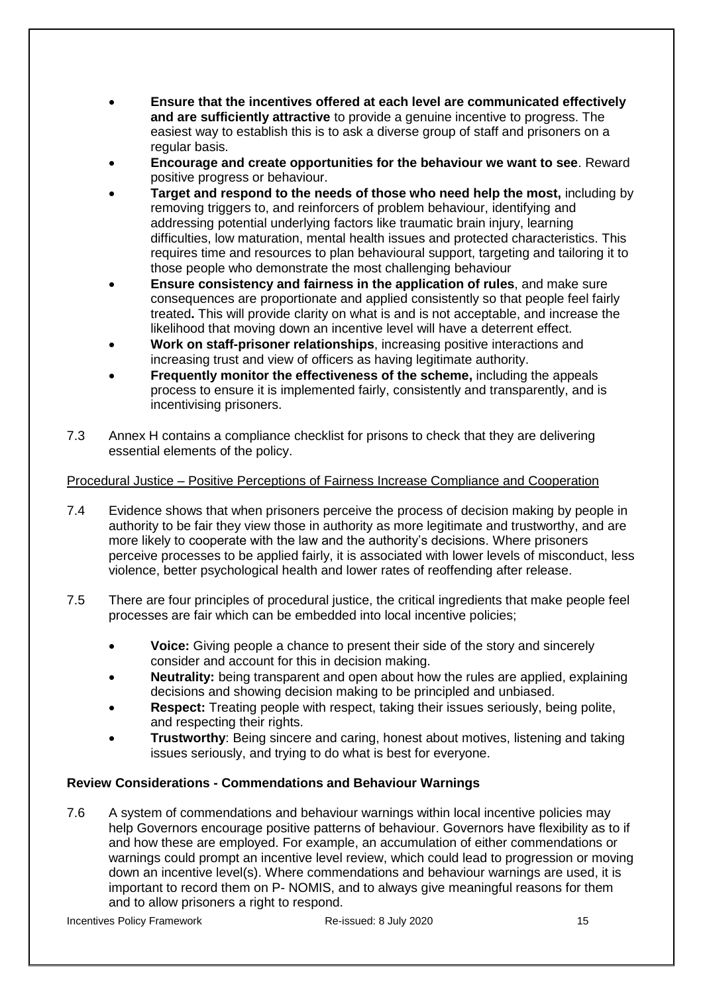- **Ensure that the incentives offered at each level are communicated effectively and are sufficiently attractive** to provide a genuine incentive to progress. The easiest way to establish this is to ask a diverse group of staff and prisoners on a regular basis.
- **Encourage and create opportunities for the behaviour we want to see**. Reward positive progress or behaviour.
- **Target and respond to the needs of those who need help the most,** including by removing triggers to, and reinforcers of problem behaviour, identifying and addressing potential underlying factors like traumatic brain injury, learning difficulties, low maturation, mental health issues and protected characteristics. This requires time and resources to plan behavioural support, targeting and tailoring it to those people who demonstrate the most challenging behaviour
- **Ensure consistency and fairness in the application of rules**, and make sure consequences are proportionate and applied consistently so that people feel fairly treated**.** This will provide clarity on what is and is not acceptable, and increase the likelihood that moving down an incentive level will have a deterrent effect.
- **Work on staff-prisoner relationships**, increasing positive interactions and increasing trust and view of officers as having legitimate authority.
- **Frequently monitor the effectiveness of the scheme,** including the appeals process to ensure it is implemented fairly, consistently and transparently, and is incentivising prisoners.
- 7.3 [Annex H](#page-33-1) contains a compliance checklist for prisons to check that they are delivering essential elements of the policy.

## <span id="page-14-0"></span>Procedural Justice – Positive Perceptions of Fairness Increase Compliance and Cooperation

- 7.4 Evidence shows that when prisoners perceive the process of decision making by people in authority to be fair they view those in authority as more legitimate and trustworthy, and are more likely to cooperate with the law and the authority's decisions. Where prisoners perceive processes to be applied fairly, it is associated with lower levels of misconduct, less violence, better psychological health and lower rates of reoffending after release.
- 7.5 There are four principles of procedural justice, the critical ingredients that make people feel processes are fair which can be embedded into local incentive policies;
	- **Voice:** Giving people a chance to present their side of the story and sincerely consider and account for this in decision making.
	- **Neutrality:** being transparent and open about how the rules are applied, explaining decisions and showing decision making to be principled and unbiased.
	- **Respect:** Treating people with respect, taking their issues seriously, being polite, and respecting their rights.
	- **Trustworthy**: Being sincere and caring, honest about motives, listening and taking issues seriously, and trying to do what is best for everyone.

# <span id="page-14-1"></span>**Review Considerations - Commendations and Behaviour Warnings**

7.6 A system of commendations and behaviour warnings within local incentive policies may help Governors encourage positive patterns of behaviour. Governors have flexibility as to if and how these are employed. For example, an accumulation of either commendations or warnings could prompt an incentive level review, which could lead to progression or moving down an incentive level(s). Where commendations and behaviour warnings are used, it is important to record them on P- NOMIS, and to always give meaningful reasons for them and to allow prisoners a right to respond.

Incentives Policy Framework **Contained: Re-issued: 8 July 2020** 15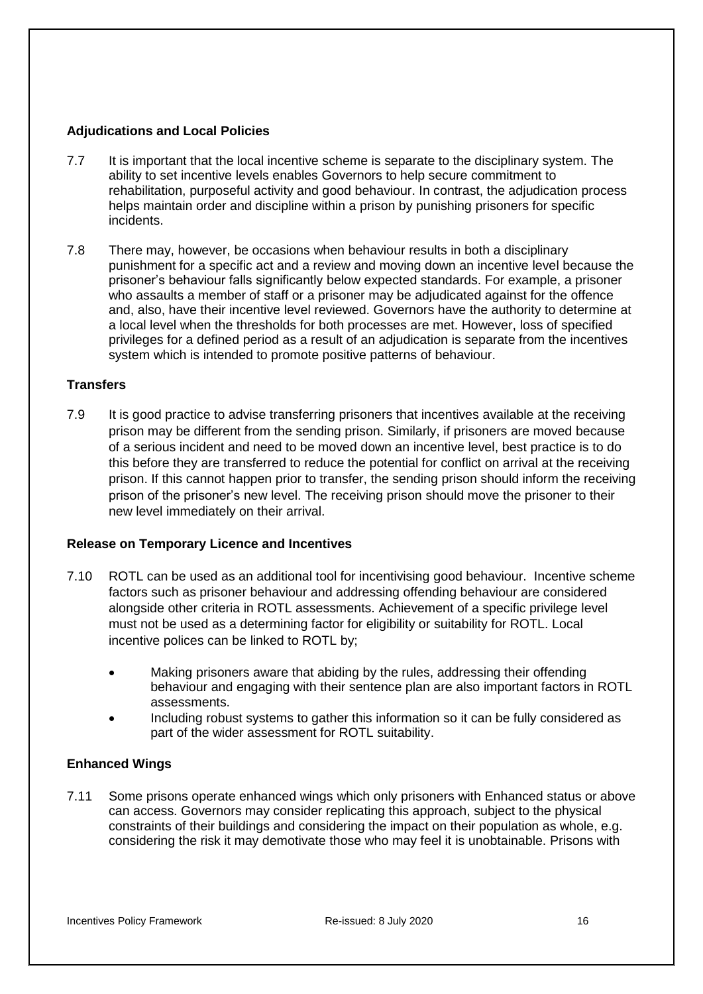### <span id="page-15-0"></span>**Adjudications and Local Policies**

- 7.7 It is important that the local incentive scheme is separate to the disciplinary system. The ability to set incentive levels enables Governors to help secure commitment to rehabilitation, purposeful activity and good behaviour. In contrast, the adjudication process helps maintain order and discipline within a prison by punishing prisoners for specific incidents.
- 7.8 There may, however, be occasions when behaviour results in both a disciplinary punishment for a specific act and a review and moving down an incentive level because the prisoner's behaviour falls significantly below expected standards. For example, a prisoner who assaults a member of staff or a prisoner may be adjudicated against for the offence and, also, have their incentive level reviewed. Governors have the authority to determine at a local level when the thresholds for both processes are met. However, loss of specified privileges for a defined period as a result of an adjudication is separate from the incentives system which is intended to promote positive patterns of behaviour.

#### <span id="page-15-1"></span>**Transfers**

7.9 It is good practice to advise transferring prisoners that incentives available at the receiving prison may be different from the sending prison. Similarly, if prisoners are moved because of a serious incident and need to be moved down an incentive level, best practice is to do this before they are transferred to reduce the potential for conflict on arrival at the receiving prison. If this cannot happen prior to transfer, the sending prison should inform the receiving prison of the prisoner's new level. The receiving prison should move the prisoner to their new level immediately on their arrival.

#### <span id="page-15-2"></span>**Release on Temporary Licence and Incentives**

- 7.10 ROTL can be used as an additional tool for incentivising good behaviour. Incentive scheme factors such as prisoner behaviour and addressing offending behaviour are considered alongside other criteria in ROTL assessments. Achievement of a specific privilege level must not be used as a determining factor for eligibility or suitability for ROTL. Local incentive polices can be linked to ROTL by;
	- Making prisoners aware that abiding by the rules, addressing their offending behaviour and engaging with their sentence plan are also important factors in ROTL assessments.
	- Including robust systems to gather this information so it can be fully considered as part of the wider assessment for ROTL suitability.

### <span id="page-15-3"></span>**Enhanced Wings**

7.11 Some prisons operate enhanced wings which only prisoners with Enhanced status or above can access. Governors may consider replicating this approach, subject to the physical constraints of their buildings and considering the impact on their population as whole, e.g. considering the risk it may demotivate those who may feel it is unobtainable. Prisons with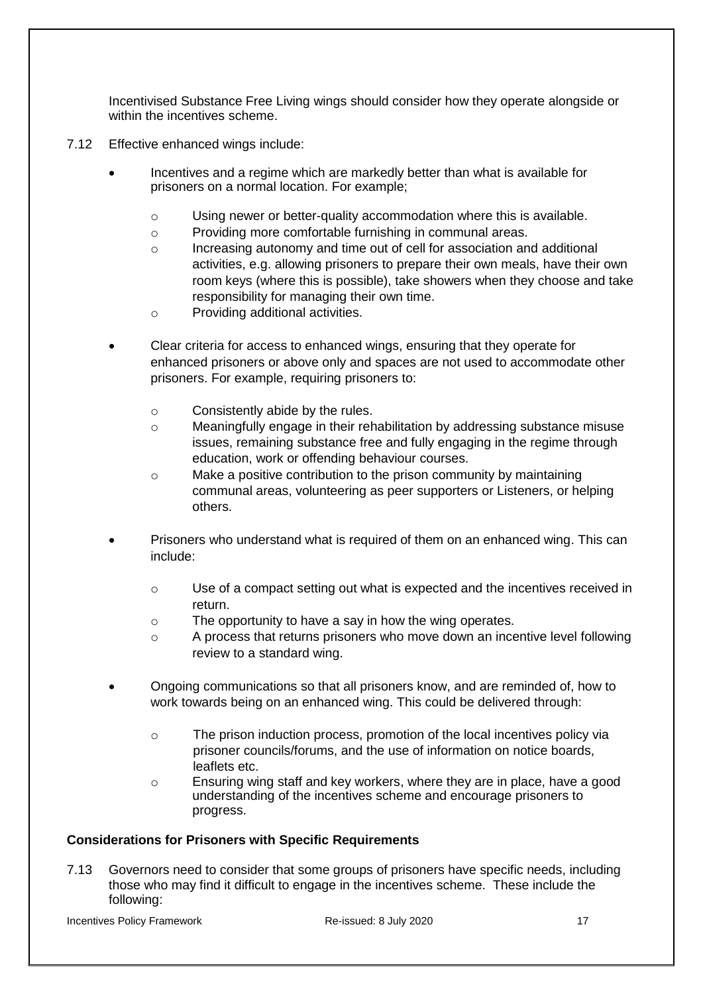Incentivised Substance Free Living wings should consider how they operate alongside or within the incentives scheme.

- 7.12 Effective enhanced wings include:
	- Incentives and a regime which are markedly better than what is available for prisoners on a normal location. For example;
		- o Using newer or better-quality accommodation where this is available.
		- o Providing more comfortable furnishing in communal areas.
		- o Increasing autonomy and time out of cell for association and additional activities, e.g. allowing prisoners to prepare their own meals, have their own room keys (where this is possible), take showers when they choose and take responsibility for managing their own time.
		- o Providing additional activities.
	- Clear criteria for access to enhanced wings, ensuring that they operate for enhanced prisoners or above only and spaces are not used to accommodate other prisoners. For example, requiring prisoners to:
		- o Consistently abide by the rules.
		- o Meaningfully engage in their rehabilitation by addressing substance misuse issues, remaining substance free and fully engaging in the regime through education, work or offending behaviour courses.
		- o Make a positive contribution to the prison community by maintaining communal areas, volunteering as peer supporters or Listeners, or helping others.
	- Prisoners who understand what is required of them on an enhanced wing. This can include:
		- o Use of a compact setting out what is expected and the incentives received in return.
		- o The opportunity to have a say in how the wing operates.
		- o A process that returns prisoners who move down an incentive level following review to a standard wing.
	- Ongoing communications so that all prisoners know, and are reminded of, how to work towards being on an enhanced wing. This could be delivered through:
		- o The prison induction process, promotion of the local incentives policy via prisoner councils/forums, and the use of information on notice boards, leaflets etc.
		- o Ensuring wing staff and key workers, where they are in place, have a good understanding of the incentives scheme and encourage prisoners to progress.

### <span id="page-16-0"></span>**Considerations for Prisoners with Specific Requirements**

7.13 Governors need to consider that some groups of prisoners have specific needs, including those who may find it difficult to engage in the incentives scheme. These include the following:

Incentives Policy Framework **Re-issued: 8 July 2020** 17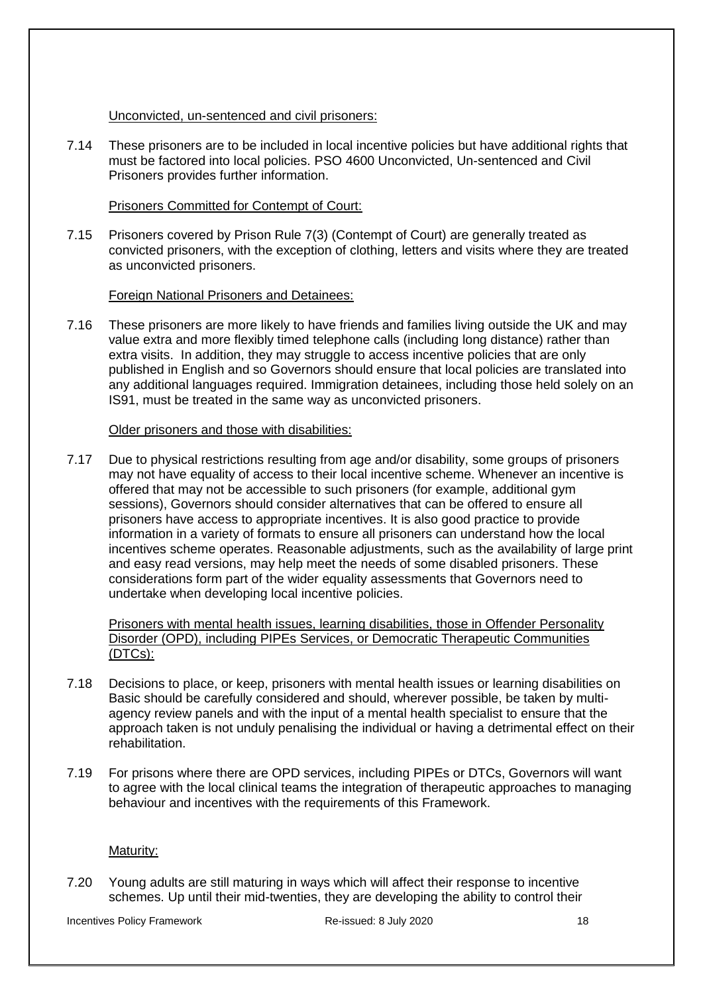### Unconvicted, un-sentenced and civil prisoners:

7.14 These prisoners are to be included in local incentive policies but have additional rights that must be factored into local policies. [PSO 4600 Unconvicted, Un-sentenced and Civil](http://www.justice.gov.uk/downloads/offenders/psipso/pso/PSO_4600_unconvicted_unsentenced_and_civil_prisoners.doc)  [Prisoners](http://www.justice.gov.uk/downloads/offenders/psipso/pso/PSO_4600_unconvicted_unsentenced_and_civil_prisoners.doc) provides further information.

### Prisoners Committed for Contempt of Court:

7.15 Prisoners covered by Prison Rule 7(3) (Contempt of Court) are generally treated as convicted prisoners, with the exception of clothing, letters and visits where they are treated as unconvicted prisoners.

### Foreign National Prisoners and Detainees:

7.16 These prisoners are more likely to have friends and families living outside the UK and may value extra and more flexibly timed telephone calls (including long distance) rather than extra visits. In addition, they may struggle to access incentive policies that are only published in English and so Governors should ensure that local policies are translated into any additional languages required. Immigration detainees, including those held solely on an IS91, must be treated in the same way as unconvicted prisoners.

#### Older prisoners and those with disabilities:

7.17 Due to physical restrictions resulting from age and/or disability, some groups of prisoners may not have equality of access to their local incentive scheme. Whenever an incentive is offered that may not be accessible to such prisoners (for example, additional gym sessions), Governors should consider alternatives that can be offered to ensure all prisoners have access to appropriate incentives. It is also good practice to provide information in a variety of formats to ensure all prisoners can understand how the local incentives scheme operates. Reasonable adjustments, such as the availability of large print and easy read versions, may help meet the needs of some disabled prisoners. These considerations form part of the wider equality assessments that Governors need to undertake when developing local incentive policies.

Prisoners with mental health issues, learning disabilities, those in Offender Personality Disorder (OPD), including PIPEs Services, or Democratic Therapeutic Communities (DTCs):

- 7.18 Decisions to place, or keep, prisoners with mental health issues or learning disabilities on Basic should be carefully considered and should, wherever possible, be taken by multiagency review panels and with the input of a mental health specialist to ensure that the approach taken is not unduly penalising the individual or having a detrimental effect on their rehabilitation.
- 7.19 For prisons where there are OPD services, including PIPEs or DTCs, Governors will want to agree with the local clinical teams the integration of therapeutic approaches to managing behaviour and incentives with the requirements of this Framework.

#### Maturity:

7.20 Young adults are still maturing in ways which will affect their response to incentive schemes. Up until their mid-twenties, they are developing the ability to control their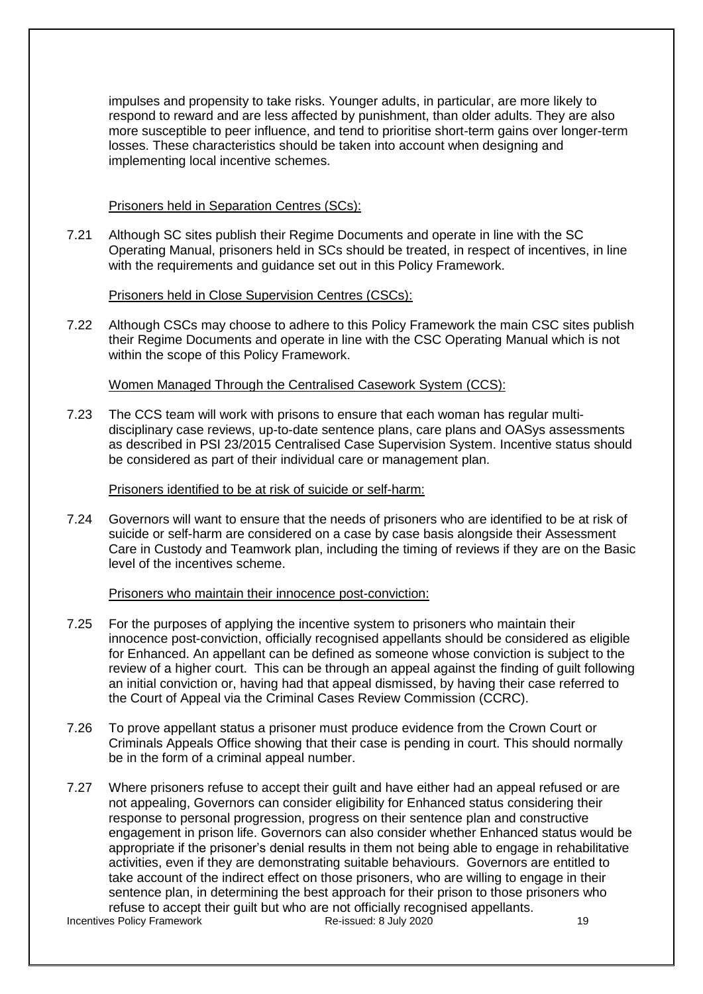impulses and propensity to take risks. Younger adults, in particular, are more likely to respond to reward and are less affected by punishment, than older adults. They are also more susceptible to peer influence, and tend to prioritise short-term gains over longer-term losses. These characteristics should be taken into account when designing and implementing local incentive schemes.

#### Prisoners held in Separation Centres (SCs):

7.21 Although SC sites publish their Regime Documents and operate in line with the SC Operating Manual, prisoners held in SCs should be treated, in respect of incentives, in line with the requirements and guidance set out in this Policy Framework.

#### Prisoners held in Close Supervision Centres (CSCs):

7.22 Although CSCs may choose to adhere to this Policy Framework the main CSC sites publish their Regime Documents and operate in line with the CSC Operating Manual which is not within the scope of this Policy Framework.

#### Women Managed Through the Centralised Casework System (CCS):

7.23 The CCS team will work with prisons to ensure that each woman has regular multidisciplinary case reviews, up-to-date sentence plans, care plans and OASys assessments as described in [PSI 23/2015 Centralised Case Supervision System.](http://www.justice.gov.uk/downloads/offenders/psipso/psi-2015/psi-23-2015-centralised-case-supervision-system.pdf) Incentive status should be considered as part of their individual care or management plan.

#### Prisoners identified to be at risk of suicide or self-harm:

7.24 Governors will want to ensure that the needs of prisoners who are identified to be at risk of suicide or self-harm are considered on a case by case basis alongside their Assessment Care in Custody and Teamwork plan, including the timing of reviews if they are on the Basic level of the incentives scheme.

#### Prisoners who maintain their innocence post-conviction:

- 7.25 For the purposes of applying the incentive system to prisoners who maintain their innocence post-conviction, officially recognised appellants should be considered as eligible for Enhanced. An appellant can be defined as someone whose conviction is subject to the review of a higher court. This can be through an appeal against the finding of guilt following an initial conviction or, having had that appeal dismissed, by having their case referred to the Court of Appeal via the Criminal Cases Review Commission (CCRC).
- 7.26 To prove appellant status a prisoner must produce evidence from the Crown Court or Criminals Appeals Office showing that their case is pending in court. This should normally be in the form of a criminal appeal number.
- Incentives Policy Framework **Re-issued: 8 July 2020** 19 7.27 Where prisoners refuse to accept their guilt and have either had an appeal refused or are not appealing, Governors can consider eligibility for Enhanced status considering their response to personal progression, progress on their sentence plan and constructive engagement in prison life. Governors can also consider whether Enhanced status would be appropriate if the prisoner's denial results in them not being able to engage in rehabilitative activities, even if they are demonstrating suitable behaviours. Governors are entitled to take account of the indirect effect on those prisoners, who are willing to engage in their sentence plan, in determining the best approach for their prison to those prisoners who refuse to accept their guilt but who are not officially recognised appellants.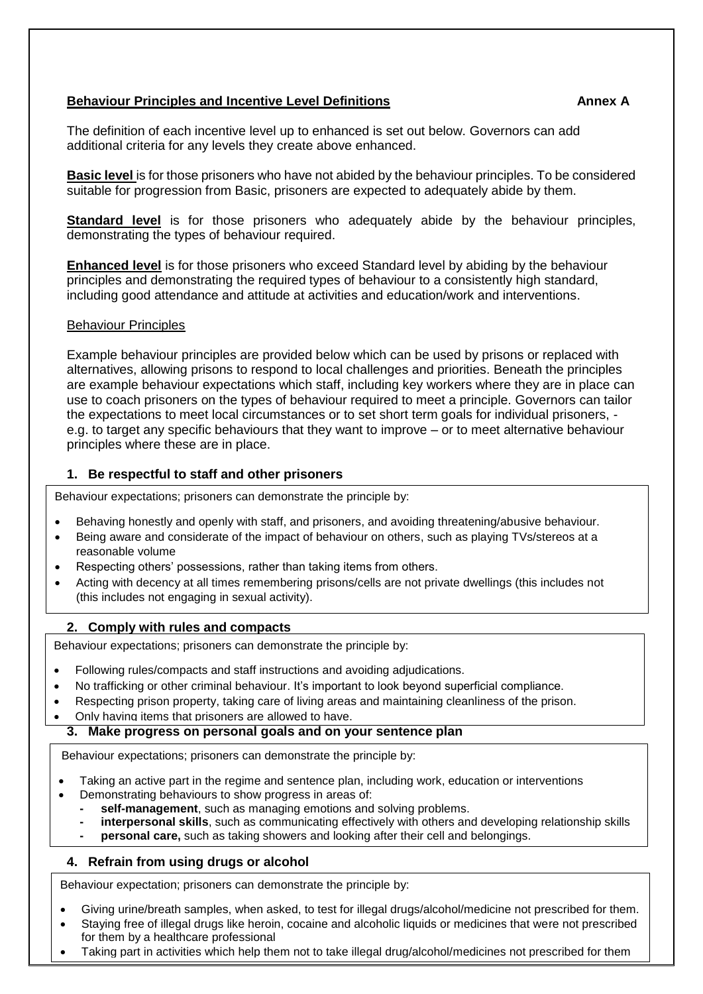# <span id="page-19-0"></span>**Behaviour Principles and Incentive Level Definitions Annex A**

The definition of each incentive level up to enhanced is set out below. Governors can add additional criteria for any levels they create above enhanced.

**Basic level** is for those prisoners who have not abided by the behaviour principles. To be considered suitable for progression from Basic, prisoners are expected to adequately abide by them.

**Standard level** is for those prisoners who adequately abide by the behaviour principles, demonstrating the types of behaviour required.

**Enhanced level** is for those prisoners who exceed Standard level by abiding by the behaviour principles and demonstrating the required types of behaviour to a consistently high standard, including good attendance and attitude at activities and education/work and interventions.

#### Behaviour Principles

Example behaviour principles are provided below which can be used by prisons or replaced with alternatives, allowing prisons to respond to local challenges and priorities. Beneath the principles are example behaviour expectations which staff, including key workers where they are in place can use to coach prisoners on the types of behaviour required to meet a principle. Governors can tailor the expectations to meet local circumstances or to set short term goals for individual prisoners, e.g. to target any specific behaviours that they want to improve – or to meet alternative behaviour principles where these are in place.

#### **1. Be respectful to staff and other prisoners**

Behaviour expectations; prisoners can demonstrate the principle by:

- Behaving honestly and openly with staff, and prisoners, and avoiding threatening/abusive behaviour.
- Being aware and considerate of the impact of behaviour on others, such as playing TVs/stereos at a reasonable volume
- Respecting others' possessions, rather than taking items from others.
- Acting with decency at all times remembering prisons/cells are not private dwellings (this includes not (this includes not engaging in sexual activity).

### **2. Comply with rules and compacts**

**EXECUTE:**<br>Behaviour expectations; prisoners can demonstrate the principle by:

- • Following rules/compacts and staff instructions and avoiding adjudications.
- No trafficking or other criminal behaviour. It's important to look beyond superficial compliance.
- Respecting prison property, taking care of living areas and maintaining cleanliness of the prison.
- Only having items that prisoners are allowed to have.

#### **3. Make progress on personal goals and on your sentence plan**

Behaviour expectations; prisoners can demonstrate the principle by:

- Taking an active part in the regime and sentence plan, including work, education or interventions
- Demonstrating behaviours to show progress in areas of:
	- **- self-management**, such as managing emotions and solving problems.
	- **- interpersonal skills**, such as communicating effectively with others and developing relationship skills
	- **personal care,** such as taking showers and looking after their cell and belongings.

### **4. Refrain from using drugs or alcohol**

Behaviour expectation; prisoners can demonstrate the principle by:

- Giving urine/breath samples, when asked, to test for illegal drugs/alcohol/medicine not prescribed for them.
- Staying free of illegal drugs like heroin, cocaine and alcoholic liquids or medicines that were not prescribed for them by a healthcare professional
- Taking part in activities which help them not to take illegal drug/alcohol/medicines not prescribed for them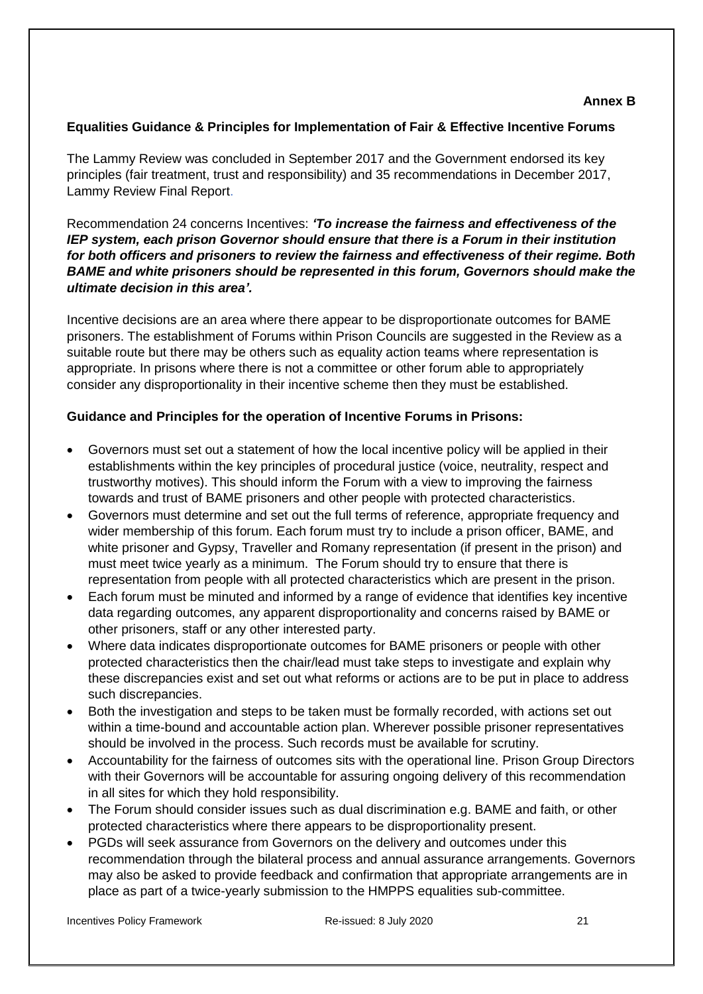### <span id="page-20-0"></span>**Equalities Guidance & Principles for Implementation of Fair & Effective Incentive Forums**

The Lammy Review was concluded in September 2017 and the Government endorsed its key principles (fair treatment, trust and responsibility) and 35 recommendations in December 2017, [Lammy Review Final Report.](https://www.gov.uk/government/publications/lammy-review-final-report)

Recommendation 24 concerns Incentives: *'To increase the fairness and effectiveness of the IEP system, each prison Governor should ensure that there is a Forum in their institution for both officers and prisoners to review the fairness and effectiveness of their regime. Both BAME and white prisoners should be represented in this forum, Governors should make the ultimate decision in this area'.*

Incentive decisions are an area where there appear to be disproportionate outcomes for BAME prisoners. The establishment of Forums within Prison Councils are suggested in the Review as a suitable route but there may be others such as equality action teams where representation is appropriate. In prisons where there is not a committee or other forum able to appropriately consider any disproportionality in their incentive scheme then they must be established.

# **Guidance and Principles for the operation of Incentive Forums in Prisons:**

- Governors must set out a statement of how the local incentive policy will be applied in their establishments within the key principles of procedural justice (voice, neutrality, respect and trustworthy motives). This should inform the Forum with a view to improving the fairness towards and trust of BAME prisoners and other people with protected characteristics.
- Governors must determine and set out the full terms of reference, appropriate frequency and wider membership of this forum. Each forum must try to include a prison officer, BAME, and white prisoner and Gypsy, Traveller and Romany representation (if present in the prison) and must meet twice yearly as a minimum. The Forum should try to ensure that there is representation from people with all protected characteristics which are present in the prison.
- Each forum must be minuted and informed by a range of evidence that identifies key incentive data regarding outcomes, any apparent disproportionality and concerns raised by BAME or other prisoners, staff or any other interested party.
- Where data indicates disproportionate outcomes for BAME prisoners or people with other protected characteristics then the chair/lead must take steps to investigate and explain why these discrepancies exist and set out what reforms or actions are to be put in place to address such discrepancies.
- Both the investigation and steps to be taken must be formally recorded, with actions set out within a time-bound and accountable action plan. Wherever possible prisoner representatives should be involved in the process. Such records must be available for scrutiny.
- Accountability for the fairness of outcomes sits with the operational line. Prison Group Directors with their Governors will be accountable for assuring ongoing delivery of this recommendation in all sites for which they hold responsibility.
- The Forum should consider issues such as dual discrimination e.g. BAME and faith, or other protected characteristics where there appears to be disproportionality present.
- PGDs will seek assurance from Governors on the delivery and outcomes under this recommendation through the bilateral process and annual assurance arrangements. Governors may also be asked to provide feedback and confirmation that appropriate arrangements are in place as part of a twice-yearly submission to the HMPPS equalities sub-committee.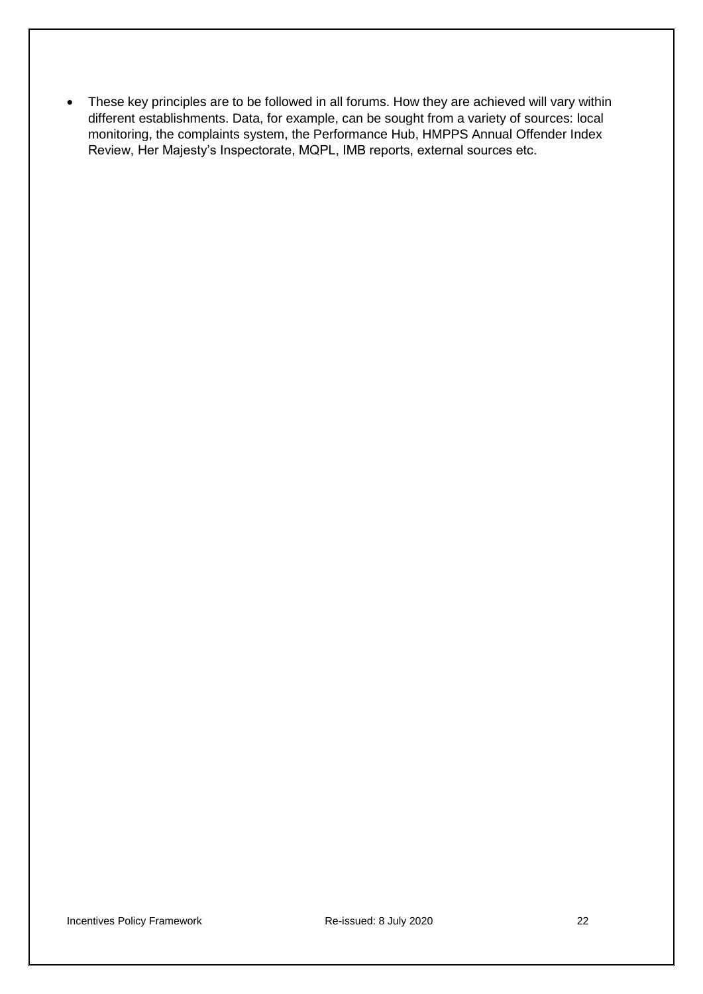• These key principles are to be followed in all forums. How they are achieved will vary within different establishments. Data, for example, can be sought from a variety of sources: local monitoring, the complaints system, the Performance Hub, HMPPS Annual Offender Index Review, Her Majesty's Inspectorate, MQPL, IMB reports, external sources etc.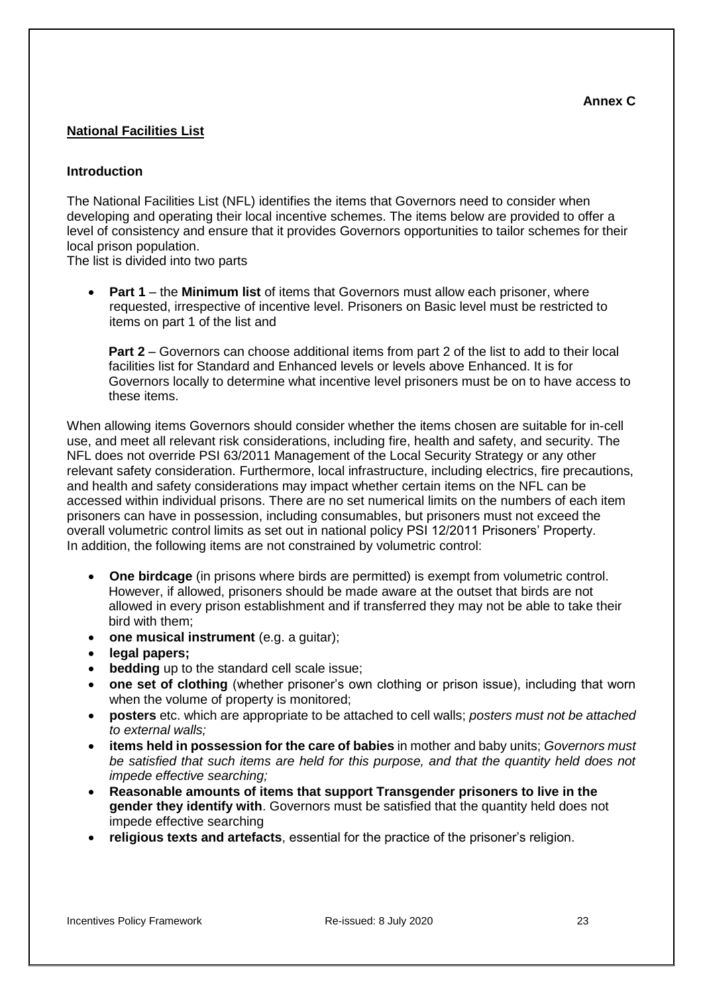## <span id="page-22-0"></span>**National Facilities List**

#### **Introduction**

The National Facilities List (NFL) identifies the items that Governors need to consider when developing and operating their local incentive schemes. The items below are provided to offer a level of consistency and ensure that it provides Governors opportunities to tailor schemes for their local prison population.

The list is divided into two parts

• **Part 1** – the **Minimum list** of items that Governors must allow each prisoner, where requested, irrespective of incentive level. Prisoners on Basic level must be restricted to items on part 1 of the list and

**Part 2** – Governors can choose additional items from part 2 of the list to add to their local facilities list for Standard and Enhanced levels or levels above Enhanced. It is for Governors locally to determine what incentive level prisoners must be on to have access to these items.

When allowing items Governors should consider whether the items chosen are suitable for in-cell use, and meet all relevant risk considerations, including fire, health and safety, and security. The NFL does not override [PSI 63/2011 Management of the Local Security Strategy](http://www.justice.gov.uk/downloads/offenders/psipso/psi-2011/psi-63-2011-local-security-strategy.doc) or any other relevant safety consideration. Furthermore, local infrastructure, including electrics, fire precautions, and health and safety considerations may impact whether certain items on the NFL can be accessed within individual prisons. There are no set numerical limits on the numbers of each item prisoners can have in possession, including consumables, but prisoners must not exceed the overall volumetric control limits as set out in national policy [PSI 12/2011 Prisoners' Property.](http://www.justice.gov.uk/downloads/offenders/psipso/psi-2011/psi-12-2011-prisoners-property.doc) In addition, the following items are not constrained by volumetric control:

- **One birdcage** (in prisons where birds are permitted) is exempt from volumetric control. However, if allowed, prisoners should be made aware at the outset that birds are not allowed in every prison establishment and if transferred they may not be able to take their bird with them;
- **one musical instrument** (e.g. a guitar);
- **legal papers;**
- **bedding** up to the standard cell scale issue;
- **one set of clothing** (whether prisoner's own clothing or prison issue), including that worn when the volume of property is monitored;
- **posters** etc. which are appropriate to be attached to cell walls; *posters must not be attached to external walls;*
- **items held in possession for the care of babies** in mother and baby units; *Governors must be satisfied that such items are held for this purpose, and that the quantity held does not impede effective searching;*
- **Reasonable amounts of items that support Transgender prisoners to live in the gender they identify with**. Governors must be satisfied that the quantity held does not impede effective searching
- **religious texts and artefacts**, essential for the practice of the prisoner's religion.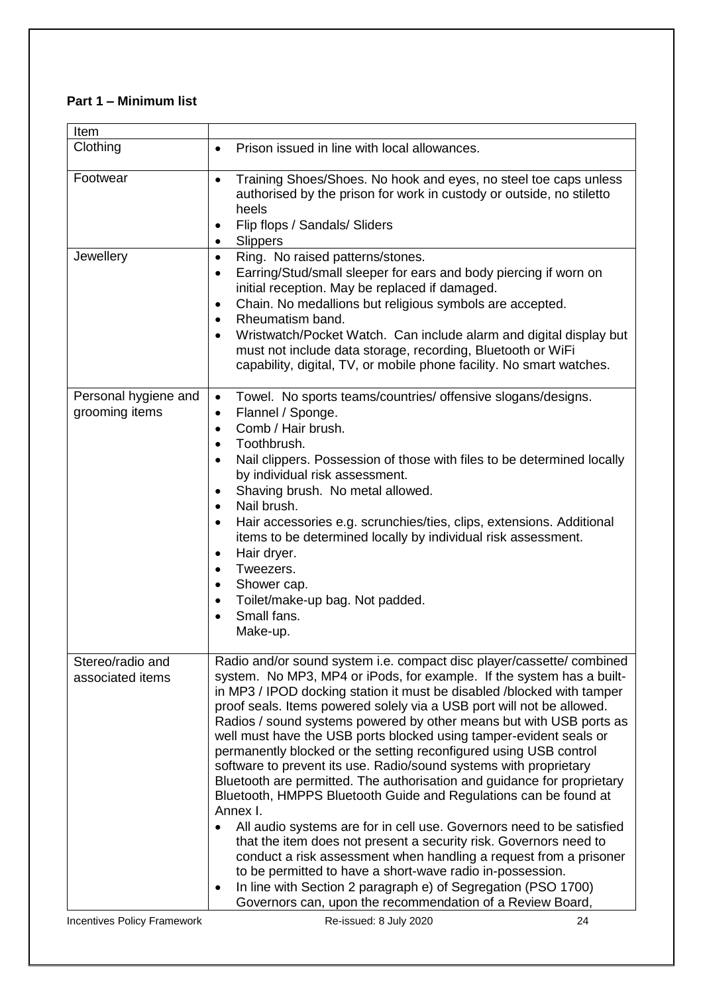# **Part 1 – Minimum list**

| Item                                   |                                                                                                                                                                                                                                                                                                                                                                                                                                                                                                                                                                                                                                                                                                                                                                                                                                                                                                                                                                                                                                                                                                                                                                                |
|----------------------------------------|--------------------------------------------------------------------------------------------------------------------------------------------------------------------------------------------------------------------------------------------------------------------------------------------------------------------------------------------------------------------------------------------------------------------------------------------------------------------------------------------------------------------------------------------------------------------------------------------------------------------------------------------------------------------------------------------------------------------------------------------------------------------------------------------------------------------------------------------------------------------------------------------------------------------------------------------------------------------------------------------------------------------------------------------------------------------------------------------------------------------------------------------------------------------------------|
| Clothing                               | Prison issued in line with local allowances.<br>$\bullet$                                                                                                                                                                                                                                                                                                                                                                                                                                                                                                                                                                                                                                                                                                                                                                                                                                                                                                                                                                                                                                                                                                                      |
| Footwear                               | Training Shoes/Shoes. No hook and eyes, no steel toe caps unless<br>$\bullet$<br>authorised by the prison for work in custody or outside, no stiletto<br>heels<br>Flip flops / Sandals/ Sliders<br>$\bullet$<br><b>Slippers</b><br>$\bullet$                                                                                                                                                                                                                                                                                                                                                                                                                                                                                                                                                                                                                                                                                                                                                                                                                                                                                                                                   |
| Jewellery                              | Ring. No raised patterns/stones.<br>$\bullet$<br>Earring/Stud/small sleeper for ears and body piercing if worn on<br>$\bullet$<br>initial reception. May be replaced if damaged.<br>Chain. No medallions but religious symbols are accepted.<br>$\bullet$<br>Rheumatism band.<br>$\bullet$<br>Wristwatch/Pocket Watch. Can include alarm and digital display but<br>$\bullet$<br>must not include data storage, recording, Bluetooth or WiFi<br>capability, digital, TV, or mobile phone facility. No smart watches.                                                                                                                                                                                                                                                                                                                                                                                                                                                                                                                                                                                                                                                           |
| Personal hygiene and<br>grooming items | Towel. No sports teams/countries/ offensive slogans/designs.<br>$\bullet$<br>Flannel / Sponge.<br>$\bullet$<br>Comb / Hair brush.<br>$\bullet$<br>Toothbrush.<br>$\bullet$<br>Nail clippers. Possession of those with files to be determined locally<br>$\bullet$<br>by individual risk assessment.<br>Shaving brush. No metal allowed.<br>$\bullet$<br>Nail brush.<br>$\bullet$<br>Hair accessories e.g. scrunchies/ties, clips, extensions. Additional<br>$\bullet$<br>items to be determined locally by individual risk assessment.<br>Hair dryer.<br>$\bullet$<br>Tweezers.<br>$\bullet$<br>Shower cap.<br>$\bullet$<br>Toilet/make-up bag. Not padded.<br>$\bullet$<br>Small fans.<br>Make-up.                                                                                                                                                                                                                                                                                                                                                                                                                                                                            |
| Stereo/radio and<br>associated items   | Radio and/or sound system i.e. compact disc player/cassette/ combined<br>system. No MP3, MP4 or iPods, for example. If the system has a built-<br>in MP3 / IPOD docking station it must be disabled /blocked with tamper<br>proof seals. Items powered solely via a USB port will not be allowed.<br>Radios / sound systems powered by other means but with USB ports as<br>well must have the USB ports blocked using tamper-evident seals or<br>permanently blocked or the setting reconfigured using USB control<br>software to prevent its use. Radio/sound systems with proprietary<br>Bluetooth are permitted. The authorisation and guidance for proprietary<br>Bluetooth, HMPPS Bluetooth Guide and Regulations can be found at<br>Annex I.<br>All audio systems are for in cell use. Governors need to be satisfied<br>$\bullet$<br>that the item does not present a security risk. Governors need to<br>conduct a risk assessment when handling a request from a prisoner<br>to be permitted to have a short-wave radio in-possession.<br>In line with Section 2 paragraph e) of Segregation (PSO 1700)<br>Governors can, upon the recommendation of a Review Board, |
| Incentives Policy Framework            | Re-issued: 8 July 2020<br>24                                                                                                                                                                                                                                                                                                                                                                                                                                                                                                                                                                                                                                                                                                                                                                                                                                                                                                                                                                                                                                                                                                                                                   |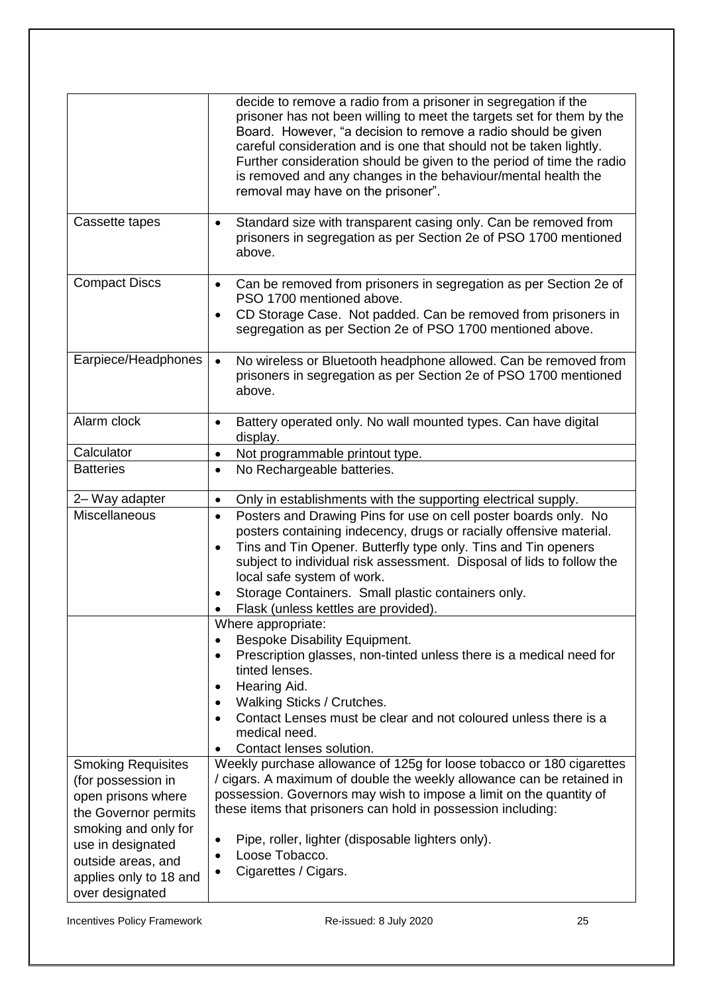|                                                                                               | decide to remove a radio from a prisoner in segregation if the<br>prisoner has not been willing to meet the targets set for them by the<br>Board. However, "a decision to remove a radio should be given<br>careful consideration and is one that should not be taken lightly.<br>Further consideration should be given to the period of time the radio<br>is removed and any changes in the behaviour/mental health the<br>removal may have on the prisoner". |
|-----------------------------------------------------------------------------------------------|----------------------------------------------------------------------------------------------------------------------------------------------------------------------------------------------------------------------------------------------------------------------------------------------------------------------------------------------------------------------------------------------------------------------------------------------------------------|
| Cassette tapes                                                                                | Standard size with transparent casing only. Can be removed from<br>$\bullet$<br>prisoners in segregation as per Section 2e of PSO 1700 mentioned<br>above.                                                                                                                                                                                                                                                                                                     |
| <b>Compact Discs</b>                                                                          | Can be removed from prisoners in segregation as per Section 2e of<br>$\bullet$<br>PSO 1700 mentioned above.<br>CD Storage Case. Not padded. Can be removed from prisoners in<br>$\bullet$<br>segregation as per Section 2e of PSO 1700 mentioned above.                                                                                                                                                                                                        |
| Earpiece/Headphones                                                                           | No wireless or Bluetooth headphone allowed. Can be removed from<br>$\bullet$<br>prisoners in segregation as per Section 2e of PSO 1700 mentioned<br>above.                                                                                                                                                                                                                                                                                                     |
| Alarm clock                                                                                   | Battery operated only. No wall mounted types. Can have digital<br>$\bullet$<br>display.                                                                                                                                                                                                                                                                                                                                                                        |
| Calculator                                                                                    | Not programmable printout type.<br>$\bullet$                                                                                                                                                                                                                                                                                                                                                                                                                   |
| <b>Batteries</b>                                                                              | No Rechargeable batteries.<br>$\bullet$                                                                                                                                                                                                                                                                                                                                                                                                                        |
| 2- Way adapter                                                                                | Only in establishments with the supporting electrical supply.<br>$\bullet$                                                                                                                                                                                                                                                                                                                                                                                     |
| Miscellaneous                                                                                 | Posters and Drawing Pins for use on cell poster boards only. No<br>$\bullet$<br>posters containing indecency, drugs or racially offensive material.<br>Tins and Tin Opener. Butterfly type only. Tins and Tin openers<br>$\bullet$<br>subject to individual risk assessment. Disposal of lids to follow the<br>local safe system of work.<br>Storage Containers. Small plastic containers only.<br>$\bullet$<br>Flask (unless kettles are provided).           |
|                                                                                               | Where appropriate:                                                                                                                                                                                                                                                                                                                                                                                                                                             |
|                                                                                               | Bespoke Disability Equipment.<br>Prescription glasses, non-tinted unless there is a medical need for<br>$\bullet$<br>tinted lenses.<br>Hearing Aid.<br>$\bullet$<br>Walking Sticks / Crutches.<br>$\bullet$                                                                                                                                                                                                                                                    |
|                                                                                               | Contact Lenses must be clear and not coloured unless there is a<br>medical need.                                                                                                                                                                                                                                                                                                                                                                               |
|                                                                                               | Contact lenses solution.<br>$\bullet$                                                                                                                                                                                                                                                                                                                                                                                                                          |
| <b>Smoking Requisites</b><br>(for possession in<br>open prisons where<br>the Governor permits | Weekly purchase allowance of 125g for loose tobacco or 180 cigarettes<br>/ cigars. A maximum of double the weekly allowance can be retained in<br>possession. Governors may wish to impose a limit on the quantity of<br>these items that prisoners can hold in possession including:                                                                                                                                                                          |
| smoking and only for<br>use in designated<br>outside areas, and<br>applies only to 18 and     | Pipe, roller, lighter (disposable lighters only).<br>$\bullet$<br>Loose Tobacco.<br>$\bullet$<br>Cigarettes / Cigars.                                                                                                                                                                                                                                                                                                                                          |
| over designated                                                                               |                                                                                                                                                                                                                                                                                                                                                                                                                                                                |

Incentives Policy Framework **Re-issued: 8 July 2020** 25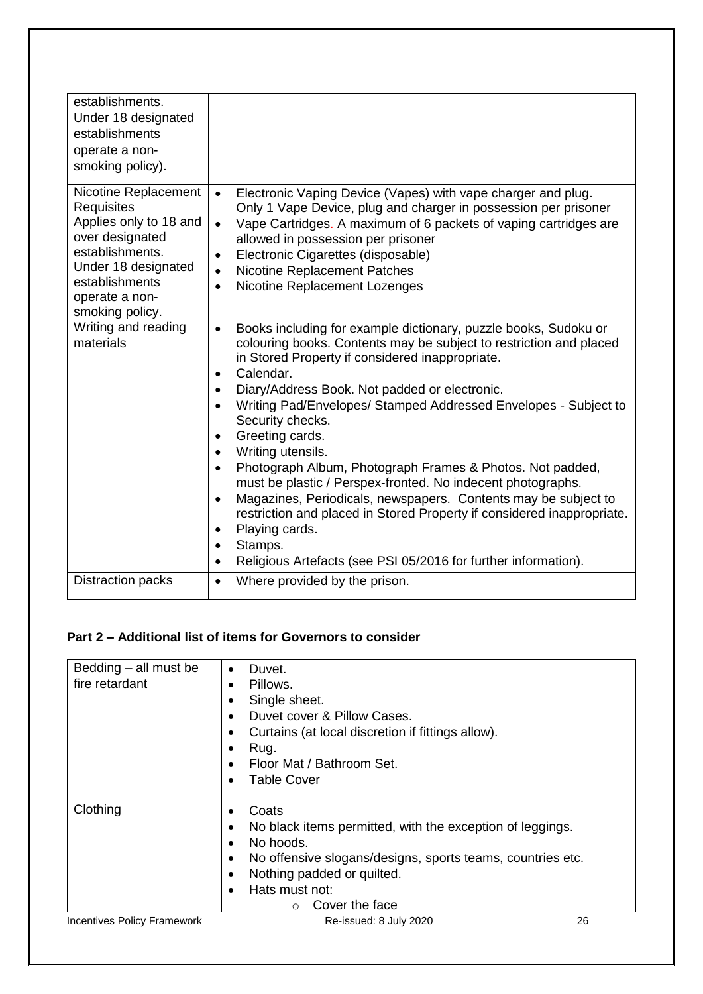| establishments.<br>Under 18 designated<br>establishments<br>operate a non-<br>smoking policy).                                                                                          |                                                                                                                                                                                                                                                                                                                                                                                                                                                                                                                                                                                                                                                                                                                                                                                                                                                                                                |
|-----------------------------------------------------------------------------------------------------------------------------------------------------------------------------------------|------------------------------------------------------------------------------------------------------------------------------------------------------------------------------------------------------------------------------------------------------------------------------------------------------------------------------------------------------------------------------------------------------------------------------------------------------------------------------------------------------------------------------------------------------------------------------------------------------------------------------------------------------------------------------------------------------------------------------------------------------------------------------------------------------------------------------------------------------------------------------------------------|
| Nicotine Replacement<br><b>Requisites</b><br>Applies only to 18 and<br>over designated<br>establishments.<br>Under 18 designated<br>establishments<br>operate a non-<br>smoking policy. | Electronic Vaping Device (Vapes) with vape charger and plug.<br>$\bullet$<br>Only 1 Vape Device, plug and charger in possession per prisoner<br>Vape Cartridges. A maximum of 6 packets of vaping cartridges are<br>$\bullet$<br>allowed in possession per prisoner<br>Electronic Cigarettes (disposable)<br>$\bullet$<br>Nicotine Replacement Patches<br>$\bullet$<br>Nicotine Replacement Lozenges<br>$\bullet$                                                                                                                                                                                                                                                                                                                                                                                                                                                                              |
| Writing and reading<br>materials                                                                                                                                                        | Books including for example dictionary, puzzle books, Sudoku or<br>$\bullet$<br>colouring books. Contents may be subject to restriction and placed<br>in Stored Property if considered inappropriate.<br>Calendar.<br>$\bullet$<br>Diary/Address Book. Not padded or electronic.<br>$\bullet$<br>Writing Pad/Envelopes/ Stamped Addressed Envelopes - Subject to<br>Security checks.<br>Greeting cards.<br>$\bullet$<br>Writing utensils.<br>$\bullet$<br>Photograph Album, Photograph Frames & Photos. Not padded,<br>$\bullet$<br>must be plastic / Perspex-fronted. No indecent photographs.<br>Magazines, Periodicals, newspapers. Contents may be subject to<br>$\bullet$<br>restriction and placed in Stored Property if considered inappropriate.<br>Playing cards.<br>$\bullet$<br>Stamps.<br>$\bullet$<br>Religious Artefacts (see PSI 05/2016 for further information).<br>$\bullet$ |
| <b>Distraction packs</b>                                                                                                                                                                | Where provided by the prison.<br>$\bullet$                                                                                                                                                                                                                                                                                                                                                                                                                                                                                                                                                                                                                                                                                                                                                                                                                                                     |

# **Part 2 – Additional list of items for Governors to consider**

| Bedding - all must be<br>fire retardant | Duvet.<br>$\bullet$<br>Pillows.<br>$\bullet$<br>Single sheet.<br>Duvet cover & Pillow Cases.<br>$\bullet$<br>Curtains (at local discretion if fittings allow).<br>$\bullet$<br>Rug.<br>$\bullet$<br>Floor Mat / Bathroom Set.<br><b>Table Cover</b>               |    |
|-----------------------------------------|-------------------------------------------------------------------------------------------------------------------------------------------------------------------------------------------------------------------------------------------------------------------|----|
| Clothing                                | Coats<br>No black items permitted, with the exception of leggings.<br>No hoods.<br>$\bullet$<br>No offensive slogans/designs, sports teams, countries etc.<br>$\bullet$<br>Nothing padded or quilted.<br>$\bullet$<br>Hats must not:<br>Cover the face<br>$\circ$ |    |
| <b>Incentives Policy Framework</b>      | Re-issued: 8 July 2020                                                                                                                                                                                                                                            | 26 |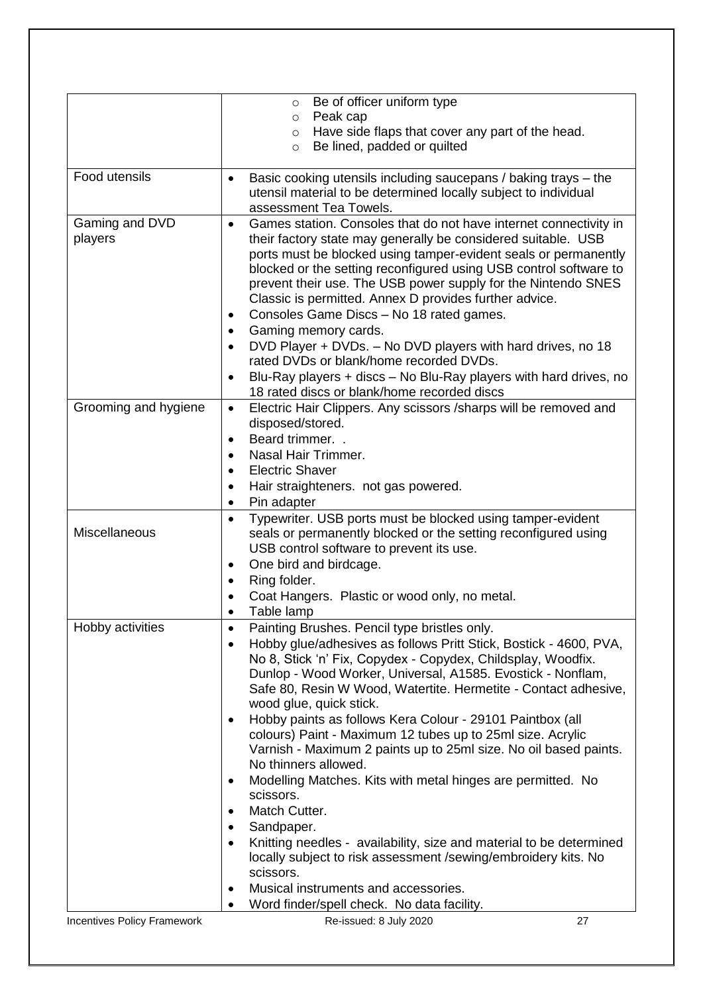|                             | Be of officer uniform type<br>$\circ$<br>Peak cap<br>$\circ$                                                                                                                                                                                                                                                                                                                                                                                                                                                                                                                                                                                                                                                                                                                                                                                                                                                                           |
|-----------------------------|----------------------------------------------------------------------------------------------------------------------------------------------------------------------------------------------------------------------------------------------------------------------------------------------------------------------------------------------------------------------------------------------------------------------------------------------------------------------------------------------------------------------------------------------------------------------------------------------------------------------------------------------------------------------------------------------------------------------------------------------------------------------------------------------------------------------------------------------------------------------------------------------------------------------------------------|
|                             | Have side flaps that cover any part of the head.<br>$\circ$<br>Be lined, padded or quilted<br>$\circ$                                                                                                                                                                                                                                                                                                                                                                                                                                                                                                                                                                                                                                                                                                                                                                                                                                  |
| Food utensils               | Basic cooking utensils including saucepans / baking trays - the<br>٠<br>utensil material to be determined locally subject to individual<br>assessment Tea Towels.                                                                                                                                                                                                                                                                                                                                                                                                                                                                                                                                                                                                                                                                                                                                                                      |
| Gaming and DVD<br>players   | Games station. Consoles that do not have internet connectivity in<br>$\bullet$<br>their factory state may generally be considered suitable. USB<br>ports must be blocked using tamper-evident seals or permanently<br>blocked or the setting reconfigured using USB control software to<br>prevent their use. The USB power supply for the Nintendo SNES<br>Classic is permitted. Annex D provides further advice.<br>Consoles Game Discs - No 18 rated games.<br>٠<br>Gaming memory cards.<br>DVD Player + DVDs. - No DVD players with hard drives, no 18<br>rated DVDs or blank/home recorded DVDs.<br>Blu-Ray players + discs - No Blu-Ray players with hard drives, no<br>$\bullet$<br>18 rated discs or blank/home recorded discs                                                                                                                                                                                                 |
| Grooming and hygiene        | Electric Hair Clippers. Any scissors /sharps will be removed and<br>٠<br>disposed/stored.<br>Beard trimmer<br>$\bullet$<br>Nasal Hair Trimmer.<br>$\bullet$<br><b>Electric Shaver</b><br>$\bullet$<br>Hair straighteners. not gas powered.<br>٠<br>Pin adapter<br>٠                                                                                                                                                                                                                                                                                                                                                                                                                                                                                                                                                                                                                                                                    |
| Miscellaneous               | Typewriter. USB ports must be blocked using tamper-evident<br>$\bullet$<br>seals or permanently blocked or the setting reconfigured using<br>USB control software to prevent its use.<br>One bird and birdcage.<br>٠<br>Ring folder.<br>Coat Hangers. Plastic or wood only, no metal.<br>Table lamp                                                                                                                                                                                                                                                                                                                                                                                                                                                                                                                                                                                                                                    |
| Hobby activities            | Painting Brushes. Pencil type bristles only.<br>٠<br>Hobby glue/adhesives as follows Pritt Stick, Bostick - 4600, PVA,<br>No 8, Stick 'n' Fix, Copydex - Copydex, Childsplay, Woodfix.<br>Dunlop - Wood Worker, Universal, A1585. Evostick - Nonflam,<br>Safe 80, Resin W Wood, Watertite. Hermetite - Contact adhesive,<br>wood glue, quick stick.<br>Hobby paints as follows Kera Colour - 29101 Paintbox (all<br>colours) Paint - Maximum 12 tubes up to 25ml size. Acrylic<br>Varnish - Maximum 2 paints up to 25ml size. No oil based paints.<br>No thinners allowed.<br>Modelling Matches. Kits with metal hinges are permitted. No<br>٠<br>scissors.<br>Match Cutter.<br>Sandpaper.<br>Knitting needles - availability, size and material to be determined<br>locally subject to risk assessment /sewing/embroidery kits. No<br>scissors.<br>Musical instruments and accessories.<br>Word finder/spell check. No data facility. |
| Incentives Policy Framework | Re-issued: 8 July 2020<br>27                                                                                                                                                                                                                                                                                                                                                                                                                                                                                                                                                                                                                                                                                                                                                                                                                                                                                                           |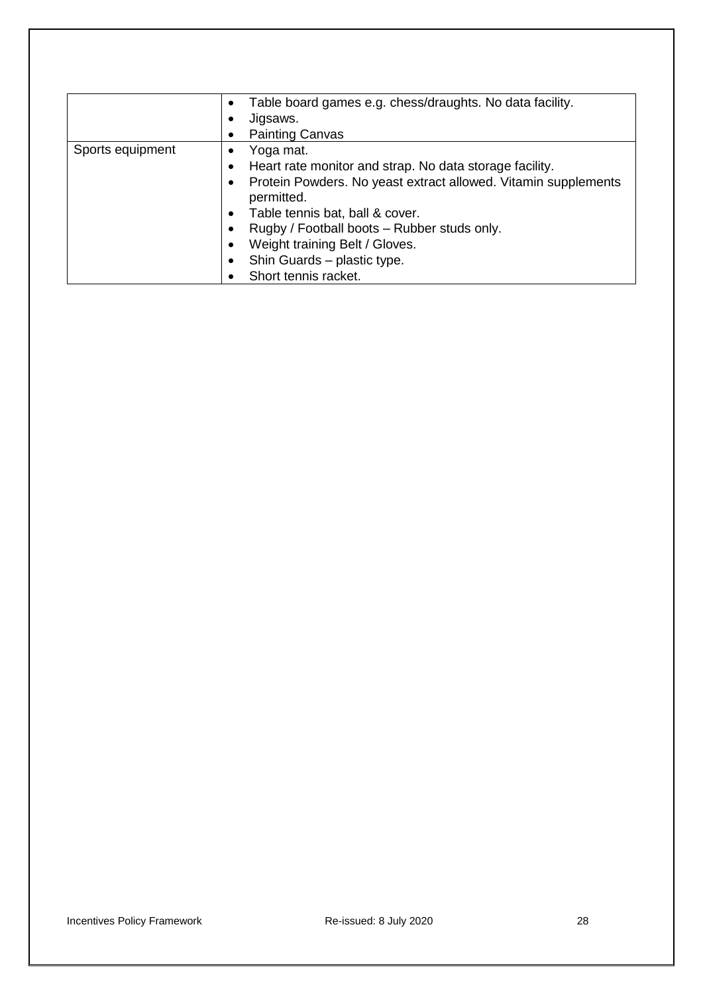|                  | Table board games e.g. chess/draughts. No data facility.<br>$\bullet$       |
|------------------|-----------------------------------------------------------------------------|
|                  | Jigsaws.                                                                    |
|                  | <b>Painting Canvas</b>                                                      |
| Sports equipment | Yoga mat.<br>٠                                                              |
|                  | Heart rate monitor and strap. No data storage facility.<br>$\bullet$        |
|                  | Protein Powders. No yeast extract allowed. Vitamin supplements<br>$\bullet$ |
|                  | permitted.                                                                  |
|                  | Table tennis bat, ball & cover.<br>$\bullet$                                |
|                  | Rugby / Football boots - Rubber studs only.<br>٠                            |
|                  | Weight training Belt / Gloves.<br>$\bullet$                                 |
|                  | Shin Guards – plastic type.<br>$\bullet$                                    |
|                  | Short tennis racket.                                                        |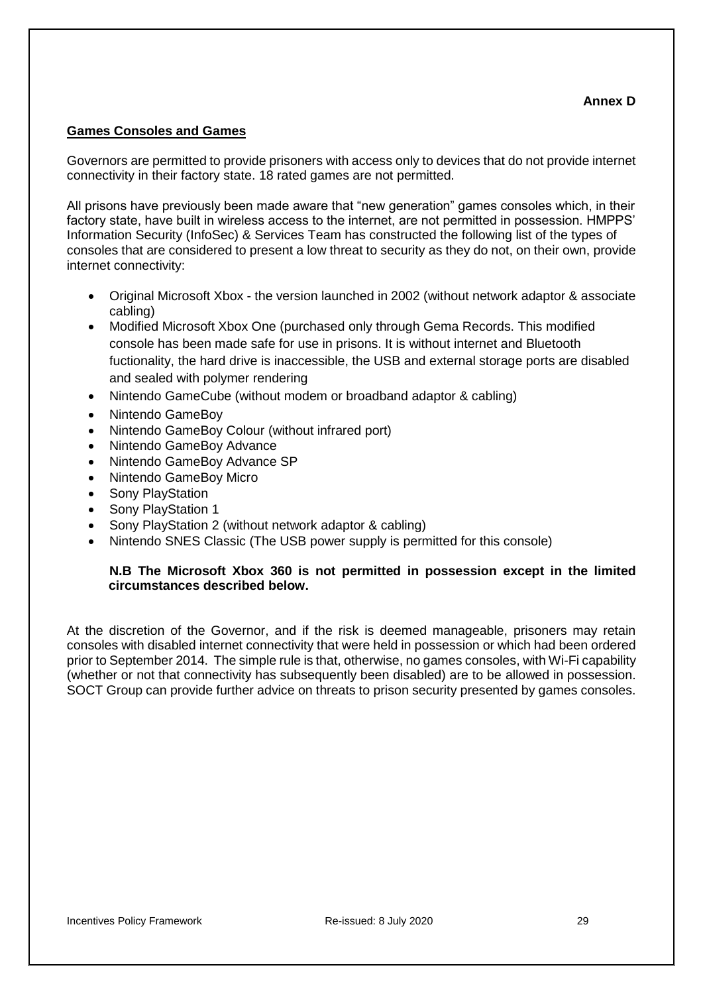### <span id="page-28-0"></span>**Games Consoles and Games**

Governors are permitted to provide prisoners with access only to devices that do not provide internet connectivity in their factory state. 18 rated games are not permitted.

All prisons have previously been made aware that "new generation" games consoles which, in their factory state, have built in wireless access to the internet, are not permitted in possession. HMPPS' Information Security (InfoSec) & Services Team has constructed the following list of the types of consoles that are considered to present a low threat to security as they do not, on their own, provide internet connectivity:

- Original Microsoft Xbox the version launched in 2002 (without network adaptor & associate cabling)
- Modified Microsoft Xbox One (purchased only through Gema Records. This modified console has been made safe for use in prisons. It is without internet and Bluetooth fuctionality, the hard drive is inaccessible, the USB and external storage ports are disabled and sealed with polymer rendering
- Nintendo GameCube (without modem or broadband adaptor & cabling)
- Nintendo GameBoy
- Nintendo GameBoy Colour (without infrared port)
- Nintendo GameBoy Advance
- Nintendo GameBoy Advance SP
- Nintendo GameBoy Micro
- Sony PlayStation
- Sony PlayStation 1
- Sony PlayStation 2 (without network adaptor & cabling)
- Nintendo SNES Classic (The USB power supply is permitted for this console)

### **N.B The Microsoft Xbox 360 is not permitted in possession except in the limited circumstances described below.**

At the discretion of the Governor, and if the risk is deemed manageable, prisoners may retain consoles with disabled internet connectivity that were held in possession or which had been ordered prior to September 2014. The simple rule is that, otherwise, no games consoles, with Wi-Fi capability (whether or not that connectivity has subsequently been disabled) are to be allowed in possession. SOCT Group can provide further advice on threats to prison security presented by games consoles.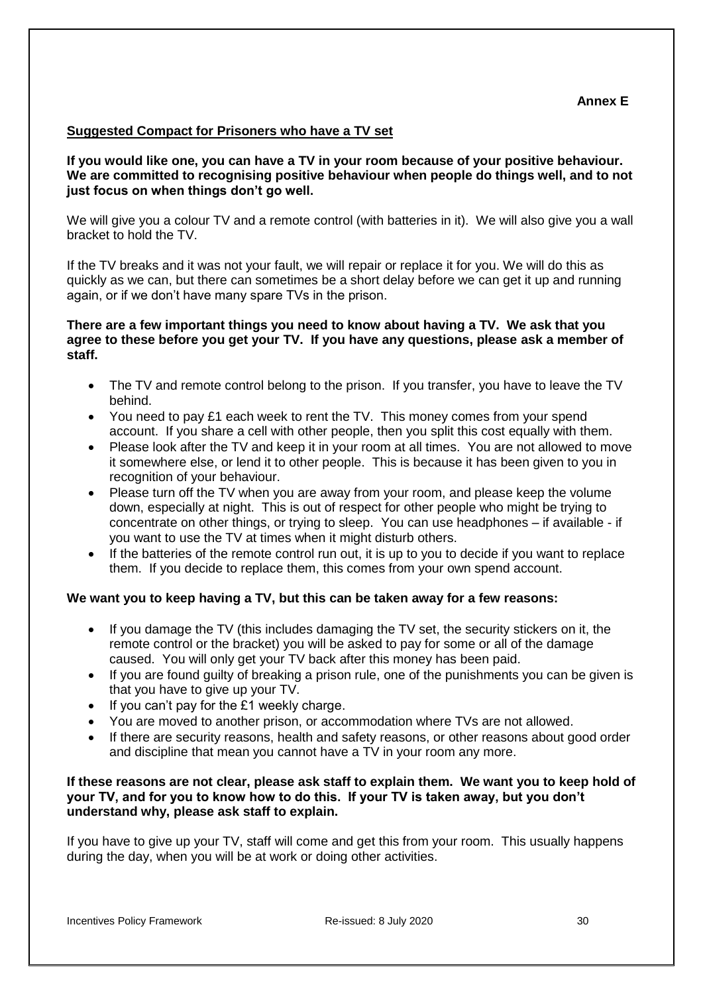#### <span id="page-29-0"></span>**Suggested Compact for Prisoners who have a TV set**

**If you would like one, you can have a TV in your room because of your positive behaviour. We are committed to recognising positive behaviour when people do things well, and to not just focus on when things don't go well.** 

We will give you a colour TV and a remote control (with batteries in it). We will also give you a wall bracket to hold the TV.

If the TV breaks and it was not your fault, we will repair or replace it for you. We will do this as quickly as we can, but there can sometimes be a short delay before we can get it up and running again, or if we don't have many spare TVs in the prison.

### **There are a few important things you need to know about having a TV. We ask that you agree to these before you get your TV. If you have any questions, please ask a member of staff.**

- The TV and remote control belong to the prison. If you transfer, you have to leave the TV behind.
- You need to pay £1 each week to rent the TV. This money comes from your spend account. If you share a cell with other people, then you split this cost equally with them.
- Please look after the TV and keep it in your room at all times. You are not allowed to move it somewhere else, or lend it to other people. This is because it has been given to you in recognition of your behaviour.
- Please turn off the TV when you are away from your room, and please keep the volume down, especially at night. This is out of respect for other people who might be trying to concentrate on other things, or trying to sleep. You can use headphones – if available - if you want to use the TV at times when it might disturb others.
- If the batteries of the remote control run out, it is up to you to decide if you want to replace them. If you decide to replace them, this comes from your own spend account.

### **We want you to keep having a TV, but this can be taken away for a few reasons:**

- If you damage the TV (this includes damaging the TV set, the security stickers on it, the remote control or the bracket) you will be asked to pay for some or all of the damage caused. You will only get your TV back after this money has been paid.
- If you are found guilty of breaking a prison rule, one of the punishments you can be given is that you have to give up your TV.
- If you can't pay for the £1 weekly charge.
- You are moved to another prison, or accommodation where TVs are not allowed.
- If there are security reasons, health and safety reasons, or other reasons about good order and discipline that mean you cannot have a TV in your room any more.

#### **If these reasons are not clear, please ask staff to explain them. We want you to keep hold of your TV, and for you to know how to do this. If your TV is taken away, but you don't understand why, please ask staff to explain.**

If you have to give up your TV, staff will come and get this from your room. This usually happens during the day, when you will be at work or doing other activities.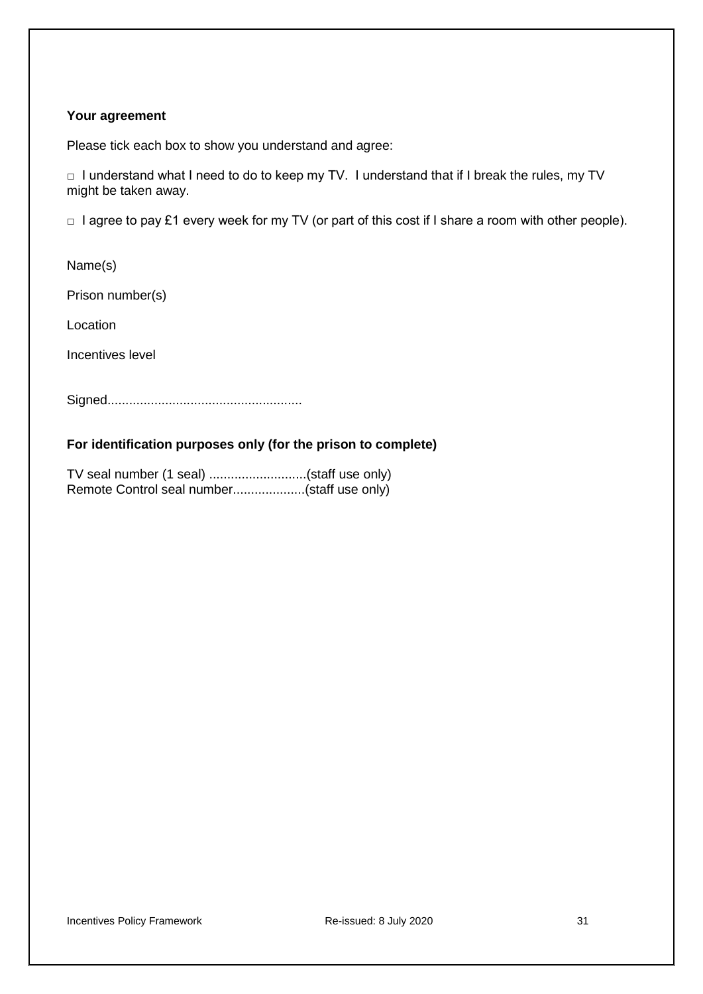#### **Your agreement**

Please tick each box to show you understand and agree:

□ I understand what I need to do to keep my TV. I understand that if I break the rules, my TV might be taken away.

□ I agree to pay £1 every week for my TV (or part of this cost if I share a room with other people).

Name(s)

Prison number(s)

Location

Incentives level

Signed......................................................

### **For identification purposes only (for the prison to complete)**

TV seal number (1 seal) ...........................(staff use only) Remote Control seal number....................(staff use only)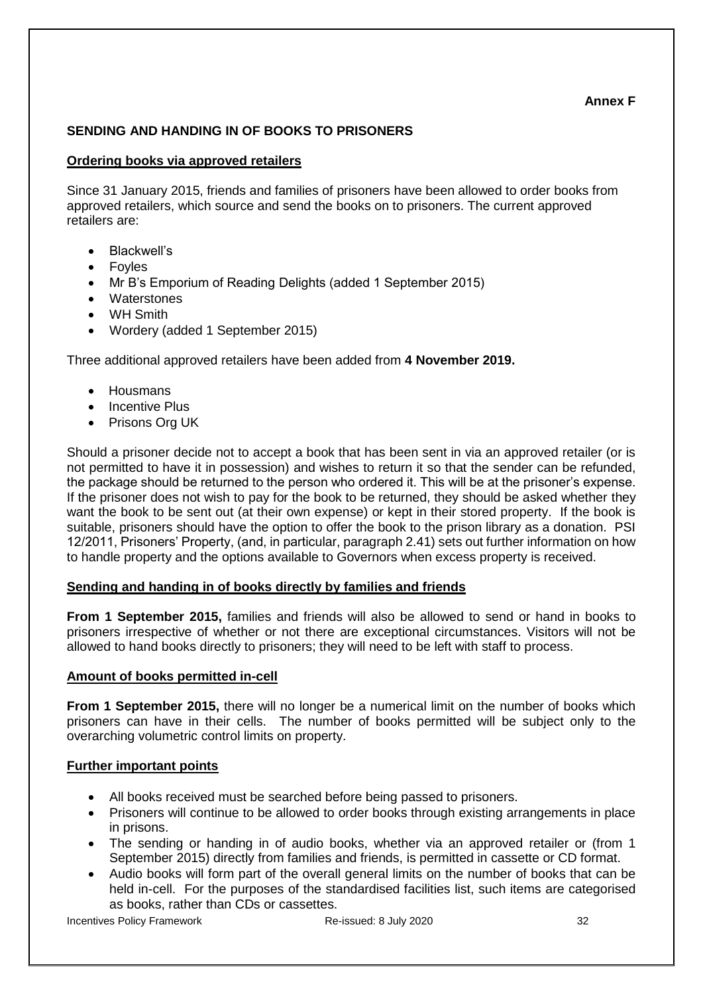### **Annex F**

# <span id="page-31-0"></span>**SENDING AND HANDING IN OF BOOKS TO PRISONERS**

## **Ordering books via approved retailers**

Since 31 January 2015, friends and families of prisoners have been allowed to order books from approved retailers, which source and send the books on to prisoners. The current approved retailers are:

- Blackwell's
- Foyles
- Mr B's Emporium of Reading Delights (added 1 September 2015)
- Waterstones
- WH Smith
- Wordery (added 1 September 2015)

Three additional approved retailers have been added from **4 November 2019.**

- Housmans
- Incentive Plus
- Prisons Org UK

Should a prisoner decide not to accept a book that has been sent in via an approved retailer (or is not permitted to have it in possession) and wishes to return it so that the sender can be refunded, the package should be returned to the person who ordered it. This will be at the prisoner's expense. If the prisoner does not wish to pay for the book to be returned, they should be asked whether they want the book to be sent out (at their own expense) or kept in their stored property. If the book is suitable, prisoners should have the option to offer the book to the prison library as a donation. PSI 12/2011, Prisoners' Property, (and, in particular, paragraph 2.41) sets out further information on how to handle property and the options available to Governors when excess property is received.

### **Sending and handing in of books directly by families and friends**

**From 1 September 2015,** families and friends will also be allowed to send or hand in books to prisoners irrespective of whether or not there are exceptional circumstances. Visitors will not be allowed to hand books directly to prisoners; they will need to be left with staff to process.

### **Amount of books permitted in-cell**

**From 1 September 2015,** there will no longer be a numerical limit on the number of books which prisoners can have in their cells. The number of books permitted will be subject only to the overarching volumetric control limits on property.

### **Further important points**

- All books received must be searched before being passed to prisoners.
- Prisoners will continue to be allowed to order books through existing arrangements in place in prisons.
- The sending or handing in of audio books, whether via an approved retailer or (from 1 September 2015) directly from families and friends, is permitted in cassette or CD format.
- Audio books will form part of the overall general limits on the number of books that can be held in-cell. For the purposes of the standardised facilities list, such items are categorised as books, rather than CDs or cassettes.

Incentives Policy Framework Re-issued: 8 July 2020 32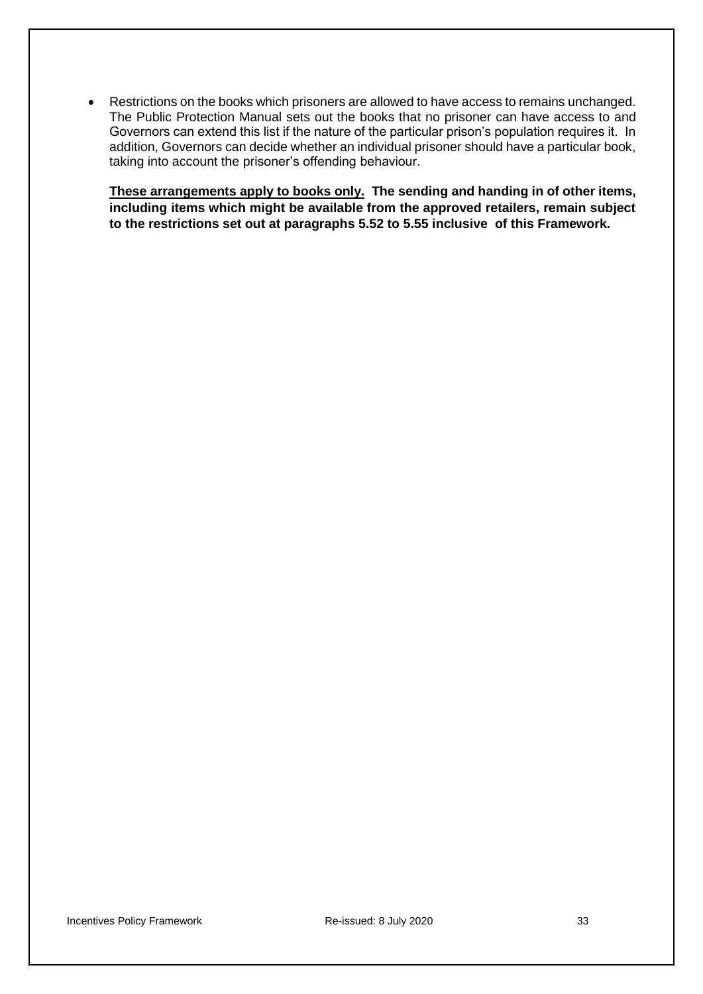• Restrictions on the books which prisoners are allowed to have access to remains unchanged. The Public Protection Manual sets out the books that no prisoner can have access to and Governors can extend this list if the nature of the particular prison's population requires it. In addition, Governors can decide whether an individual prisoner should have a particular book, taking into account the prisoner's offending behaviour.

**These arrangements apply to books only. The sending and handing in of other items, including items which might be available from the approved retailers, remain subject to the restrictions set out at paragraphs 5.52 to 5.55 inclusive of this Framework.**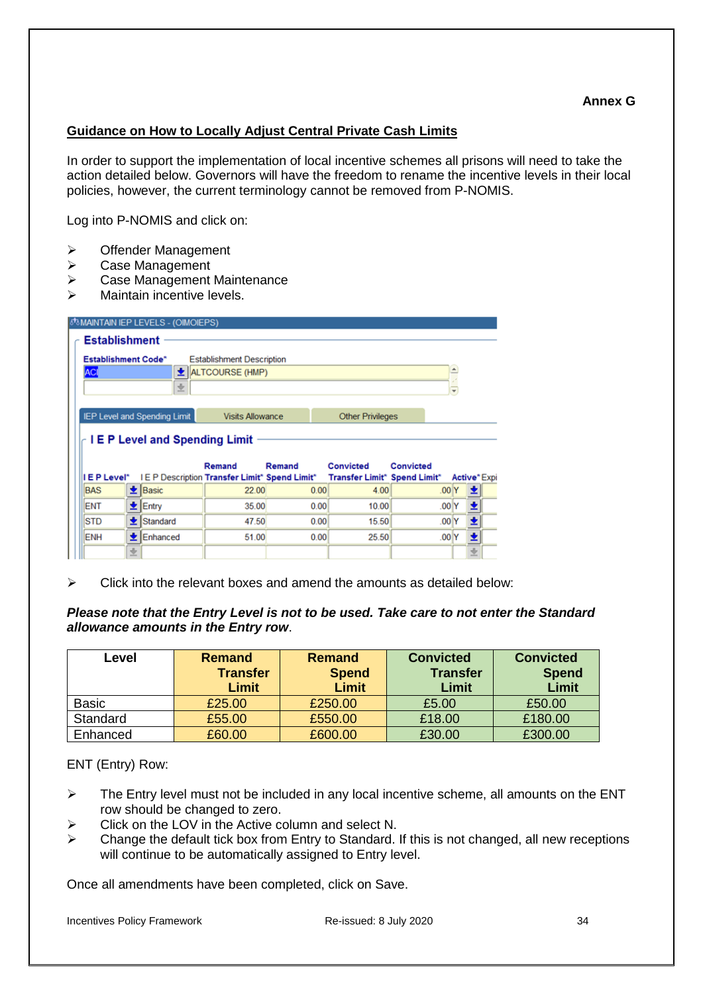### <span id="page-33-0"></span>**Guidance on How to Locally Adjust Central Private Cash Limits**

In order to support the implementation of local incentive schemes all prisons will need to take the action detailed below. Governors will have the freedom to rename the incentive levels in their local policies, however, the current terminology cannot be removed from P-NOMIS.

Log into P-NOMIS and click on:

- ➢ Offender Management
- ➢ Case Management
- ➢ Case Management Maintenance
- ➢ Maintain incentive levels.

| <b>Establishment</b>                |   |                  |                                                                |        |                              |           |           |                         |   |
|-------------------------------------|---|------------------|----------------------------------------------------------------|--------|------------------------------|-----------|-----------|-------------------------|---|
| <b>Establishment Code*</b>          |   |                  | <b>Establishment Description</b>                               |        |                              |           |           |                         |   |
| ACI                                 |   |                  | $\bigstar$ ALTCOURSE (HMP)                                     |        |                              |           |           |                         |   |
|                                     |   | き                |                                                                |        |                              |           |           | $\overline{\mathbf{v}}$ |   |
|                                     |   |                  |                                                                |        |                              |           |           |                         |   |
| <b>IEP Level and Spending Limit</b> |   |                  |                                                                |        |                              |           |           |                         |   |
|                                     |   |                  | <b>Visits Allowance</b><br><b>IEP Level and Spending Limit</b> |        | <b>Other Privileges</b>      |           |           |                         |   |
|                                     |   |                  | Remand                                                         | Remand | Convicted                    | Convicted |           |                         |   |
|                                     |   |                  | IEP Level* IEP Description Transfer Limit* Spend Limit*        |        | Transfer Limit* Spend Limit* |           |           | Active* Expi            |   |
| <b>BAS</b>                          |   | $\bigstar$ Basic | 22.00                                                          | 0.00   | 4.00                         |           | .00Y      |                         | 土 |
| ENT                                 |   | $\bigstar$ Entry | 35.00                                                          | 0.00   | 10.00                        |           | $.00\,$ Y |                         | 土 |
| <b>STD</b>                          | 土 | Standard         | 47.50                                                          | 0.00   | 15.50                        |           | .00Y      |                         | ± |
| ENH                                 | 土 | Enhanced         | 51.00                                                          | 0.00   | 25.50                        |           | .00Y      |                         | ± |

*Please note that the Entry Level is not to be used. Take care to not enter the Standard allowance amounts in the Entry row*.

| Level        | <b>Remand</b><br><b>Transfer</b><br>Limit | <b>Remand</b><br><b>Spend</b><br>Limit | <b>Convicted</b><br><b>Transfer</b><br>Limit | <b>Convicted</b><br><b>Spend</b><br>Limit |
|--------------|-------------------------------------------|----------------------------------------|----------------------------------------------|-------------------------------------------|
| <b>Basic</b> | £25.00                                    | £250.00                                | £5.00                                        | £50.00                                    |
| Standard     | £55.00                                    | £550.00                                | £18.00                                       | £180.00                                   |
| Enhanced     | £60.00                                    | £600.00                                | £30.00                                       | £300.00                                   |

ENT (Entry) Row:

- $\triangleright$  The Entry level must not be included in any local incentive scheme, all amounts on the ENT row should be changed to zero.
- $\triangleright$  Click on the LOV in the Active column and select N.
- ➢ Change the default tick box from Entry to Standard. If this is not changed, all new receptions will continue to be automatically assigned to Entry level.

<span id="page-33-1"></span>Once all amendments have been completed, click on Save.

 $\triangleright$  Click into the relevant boxes and amend the amounts as detailed below: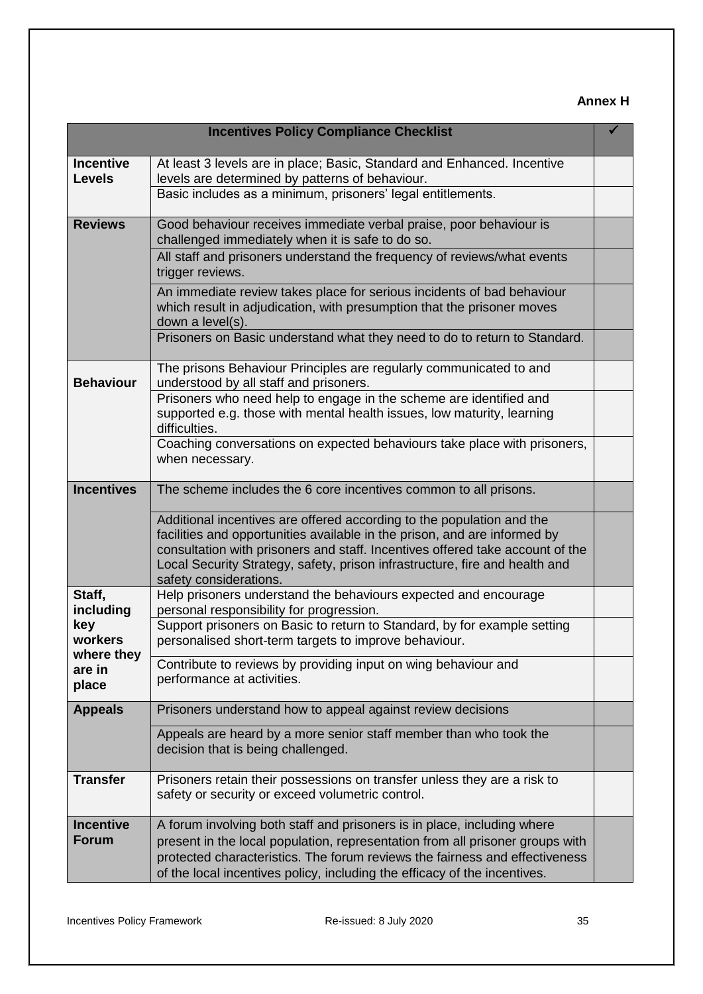# **Annex H**

| <b>Incentives Policy Compliance Checklist</b> |                                                                                                                                                                                                                                                                                                                                              |  |  |
|-----------------------------------------------|----------------------------------------------------------------------------------------------------------------------------------------------------------------------------------------------------------------------------------------------------------------------------------------------------------------------------------------------|--|--|
| <b>Incentive</b><br><b>Levels</b>             | At least 3 levels are in place; Basic, Standard and Enhanced. Incentive<br>levels are determined by patterns of behaviour.                                                                                                                                                                                                                   |  |  |
|                                               | Basic includes as a minimum, prisoners' legal entitlements.                                                                                                                                                                                                                                                                                  |  |  |
| <b>Reviews</b>                                | Good behaviour receives immediate verbal praise, poor behaviour is<br>challenged immediately when it is safe to do so.                                                                                                                                                                                                                       |  |  |
|                                               | All staff and prisoners understand the frequency of reviews/what events<br>trigger reviews.                                                                                                                                                                                                                                                  |  |  |
|                                               | An immediate review takes place for serious incidents of bad behaviour<br>which result in adjudication, with presumption that the prisoner moves<br>down a level(s).                                                                                                                                                                         |  |  |
|                                               | Prisoners on Basic understand what they need to do to return to Standard.                                                                                                                                                                                                                                                                    |  |  |
| <b>Behaviour</b>                              | The prisons Behaviour Principles are regularly communicated to and<br>understood by all staff and prisoners.                                                                                                                                                                                                                                 |  |  |
|                                               | Prisoners who need help to engage in the scheme are identified and<br>supported e.g. those with mental health issues, low maturity, learning<br>difficulties.                                                                                                                                                                                |  |  |
|                                               | Coaching conversations on expected behaviours take place with prisoners,<br>when necessary.                                                                                                                                                                                                                                                  |  |  |
| <b>Incentives</b>                             | The scheme includes the 6 core incentives common to all prisons.                                                                                                                                                                                                                                                                             |  |  |
|                                               | Additional incentives are offered according to the population and the<br>facilities and opportunities available in the prison, and are informed by<br>consultation with prisoners and staff. Incentives offered take account of the<br>Local Security Strategy, safety, prison infrastructure, fire and health and<br>safety considerations. |  |  |
| Staff,<br>including                           | Help prisoners understand the behaviours expected and encourage<br>personal responsibility for progression.                                                                                                                                                                                                                                  |  |  |
| key<br>workers<br>where they                  | Support prisoners on Basic to return to Standard, by for example setting<br>personalised short-term targets to improve behaviour.                                                                                                                                                                                                            |  |  |
| are in<br>place                               | Contribute to reviews by providing input on wing behaviour and<br>performance at activities.                                                                                                                                                                                                                                                 |  |  |
| <b>Appeals</b>                                | Prisoners understand how to appeal against review decisions                                                                                                                                                                                                                                                                                  |  |  |
|                                               | Appeals are heard by a more senior staff member than who took the<br>decision that is being challenged.                                                                                                                                                                                                                                      |  |  |
| <b>Transfer</b>                               | Prisoners retain their possessions on transfer unless they are a risk to<br>safety or security or exceed volumetric control.                                                                                                                                                                                                                 |  |  |
| <b>Incentive</b><br><b>Forum</b>              | A forum involving both staff and prisoners is in place, including where<br>present in the local population, representation from all prisoner groups with<br>protected characteristics. The forum reviews the fairness and effectiveness<br>of the local incentives policy, including the efficacy of the incentives.                         |  |  |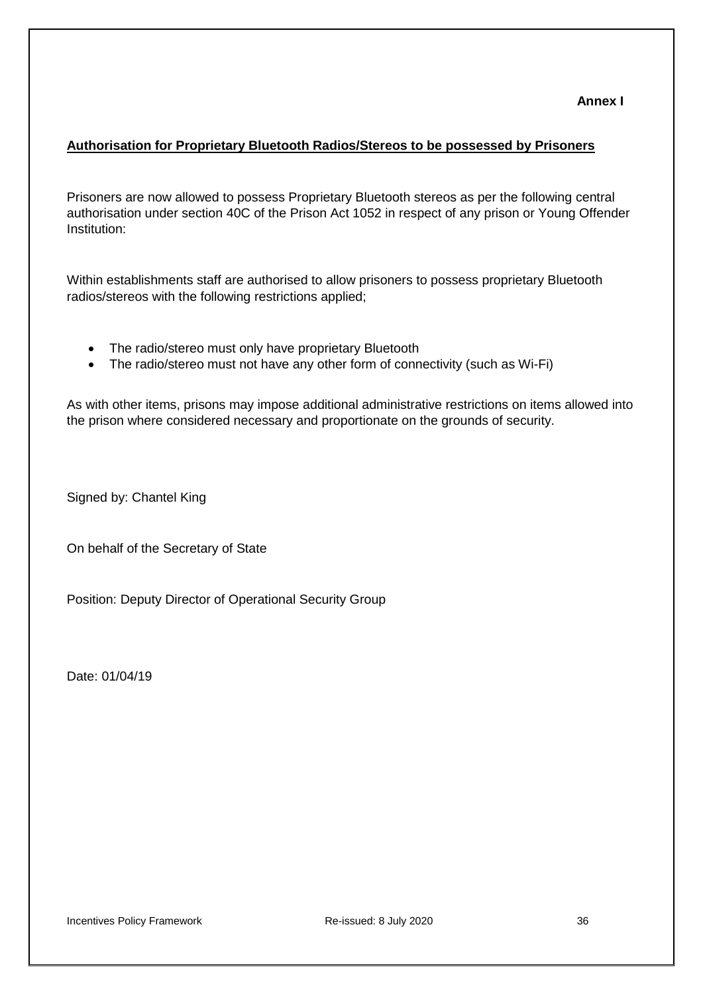### **Annex I**

#### <span id="page-35-0"></span>**Authorisation for Proprietary Bluetooth Radios/Stereos to be possessed by Prisoners**

Prisoners are now allowed to possess Proprietary Bluetooth stereos as per the following central authorisation under section 40C of the Prison Act 1052 in respect of any prison or Young Offender Institution:

Within establishments staff are authorised to allow prisoners to possess proprietary Bluetooth radios/stereos with the following restrictions applied;

- The radio/stereo must only have proprietary Bluetooth
- The radio/stereo must not have any other form of connectivity (such as Wi-Fi)

As with other items, prisons may impose additional administrative restrictions on items allowed into the prison where considered necessary and proportionate on the grounds of security.

Signed by: Chantel King

On behalf of the Secretary of State

Position: Deputy Director of Operational Security Group

Date: 01/04/19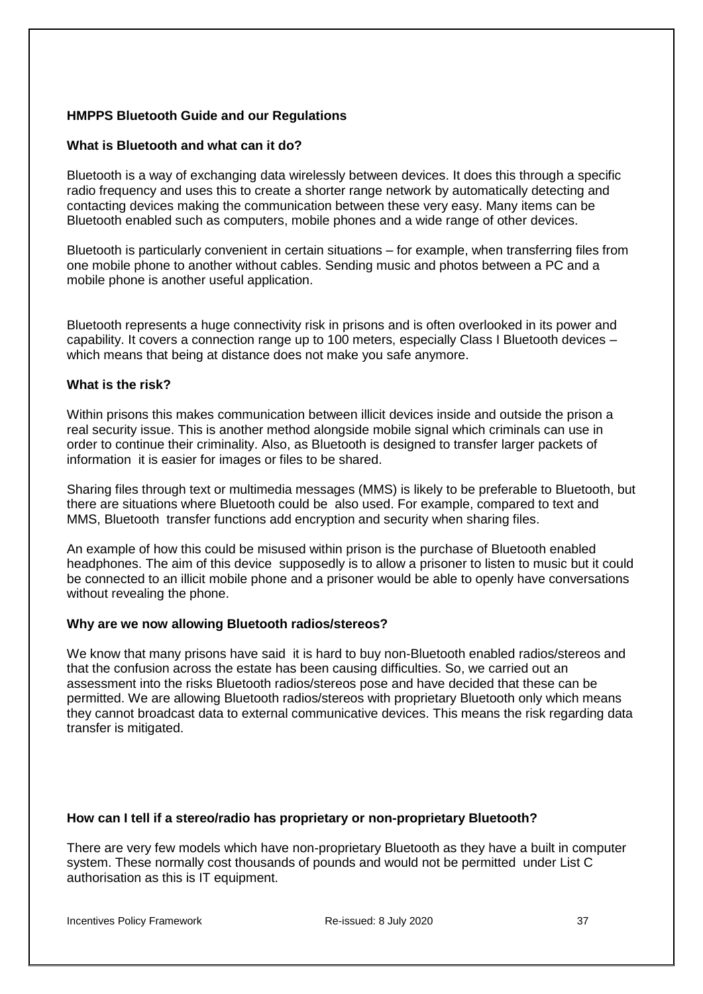### **HMPPS Bluetooth Guide and our Regulations**

#### **What is Bluetooth and what can it do?**

Bluetooth is a way of exchanging data wirelessly between devices. It does this through a specific radio frequency and uses this to create a shorter range network by automatically detecting and contacting devices making the communication between these very easy. Many items can be Bluetooth enabled such as computers, mobile phones and a wide range of other devices.

Bluetooth is particularly convenient in certain situations – for example, when transferring files from one mobile phone to another without cables. Sending music and photos between a PC and a mobile phone is another useful application.

Bluetooth represents a huge connectivity risk in prisons and is often overlooked in its power and capability. It covers a connection range up to 100 meters, especially Class I Bluetooth devices – which means that being at distance does not make you safe anymore.

### **What is the risk?**

Within prisons this makes communication between illicit devices inside and outside the prison a real security issue. This is another method alongside mobile signal which criminals can use in order to continue their criminality. Also, as Bluetooth is designed to transfer larger packets of information it is easier for images or files to be shared.

Sharing files through text or multimedia messages (MMS) is likely to be preferable to Bluetooth, but there are situations where Bluetooth could be also used. For example, compared to text and MMS, Bluetooth transfer functions add encryption and security when sharing files.

An example of how this could be misused within prison is the purchase of Bluetooth enabled headphones. The aim of this device supposedly is to allow a prisoner to listen to music but it could be connected to an illicit mobile phone and a prisoner would be able to openly have conversations without revealing the phone.

### **Why are we now allowing Bluetooth radios/stereos?**

We know that many prisons have said it is hard to buy non-Bluetooth enabled radios/stereos and that the confusion across the estate has been causing difficulties. So, we carried out an assessment into the risks Bluetooth radios/stereos pose and have decided that these can be permitted. We are allowing Bluetooth radios/stereos with proprietary Bluetooth only which means they cannot broadcast data to external communicative devices. This means the risk regarding data transfer is mitigated.

#### **How can I tell if a stereo/radio has proprietary or non-proprietary Bluetooth?**

There are very few models which have non-proprietary Bluetooth as they have a built in computer system. These normally cost thousands of pounds and would not be permitted under List C authorisation as this is IT equipment.